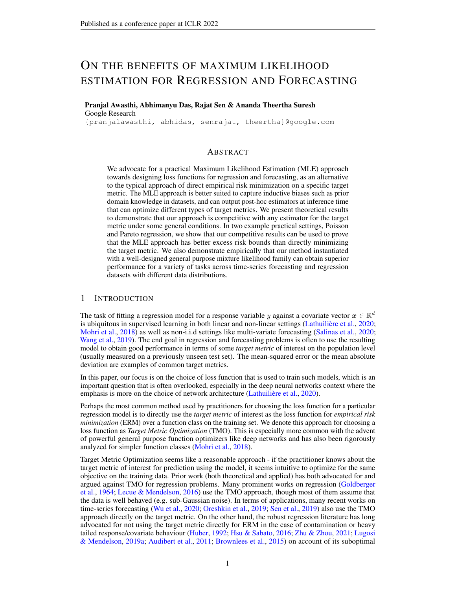# ON THE BENEFITS OF MAXIMUM LIKELIHOOD ESTIMATION FOR REGRESSION AND FORECASTING

# Pranjal Awasthi, Abhimanyu Das, Rajat Sen & Ananda Theertha Suresh Google Research

{pranjalawasthi, abhidas, senrajat, theertha}@google.com

### ABSTRACT

We advocate for a practical Maximum Likelihood Estimation (MLE) approach towards designing loss functions for regression and forecasting, as an alternative to the typical approach of direct empirical risk minimization on a specific target metric. The MLE approach is better suited to capture inductive biases such as prior domain knowledge in datasets, and can output post-hoc estimators at inference time that can optimize different types of target metrics. We present theoretical results to demonstrate that our approach is competitive with any estimator for the target metric under some general conditions. In two example practical settings, Poisson and Pareto regression, we show that our competitive results can be used to prove that the MLE approach has better excess risk bounds than directly minimizing the target metric. We also demonstrate empirically that our method instantiated with a well-designed general purpose mixture likelihood family can obtain superior performance for a variety of tasks across time-series forecasting and regression datasets with different data distributions.

### 1 INTRODUCTION

The task of fitting a regression model for a response variable y against a covariate vector  $x \in \mathbb{R}^d$ is ubiquitous in supervised learning in both linear and non-linear settings [\(Lathuilière et al.,](#page-10-0) [2020;](#page-10-0) [Mohri et al.,](#page-11-0) [2018\)](#page-11-0) as well as non-i.i.d settings like multi-variate forecasting [\(Salinas et al.,](#page-11-1) [2020;](#page-11-1) [Wang et al.,](#page-11-2) [2019\)](#page-11-2). The end goal in regression and forecasting problems is often to use the resulting model to obtain good performance in terms of some *target metric* of interest on the population level (usually measured on a previously unseen test set). The mean-squared error or the mean absolute deviation are examples of common target metrics.

In this paper, our focus is on the choice of loss function that is used to train such models, which is an important question that is often overlooked, especially in the deep neural networks context where the emphasis is more on the choice of network architecture [\(Lathuilière et al.,](#page-10-0) [2020\)](#page-10-0).

Perhaps the most common method used by practitioners for choosing the loss function for a particular regression model is to directly use the *target metric* of interest as the loss function for *empirical risk minimization* (ERM) over a function class on the training set. We denote this approach for choosing a loss function as *Target Metric Optimization* (TMO). This is especially more common with the advent of powerful general purpose function optimizers like deep networks and has also been rigorously analyzed for simpler function classes [\(Mohri et al.,](#page-11-0) [2018\)](#page-11-0).

Target Metric Optimization seems like a reasonable approach - if the practitioner knows about the target metric of interest for prediction using the model, it seems intuitive to optimize for the same objective on the training data. Prior work (both theoretical and applied) has both advocated for and argued against TMO for regression problems. Many prominent works on regression [\(Goldberger](#page-10-1) [et al.,](#page-10-1) [1964;](#page-10-1) [Lecue & Mendelson,](#page-10-2) [2016\)](#page-10-2) use the TMO approach, though most of them assume that the data is well behaved (e.g. sub-Gaussian noise). In terms of applications, many recent works on time-series forecasting [\(Wu et al.,](#page-12-0) [2020;](#page-12-0) [Oreshkin et al.,](#page-11-3) [2019;](#page-11-3) [Sen et al.,](#page-11-4) [2019\)](#page-11-4) also use the TMO approach directly on the target metric. On the other hand, the robust regression literature has long advocated for not using the target metric directly for ERM in the case of contamination or heavy tailed response/covariate behaviour [\(Huber,](#page-10-3) [1992;](#page-10-3) [Hsu & Sabato,](#page-10-4) [2016;](#page-10-4) [Zhu & Zhou,](#page-12-1) [2021;](#page-12-1) [Lugosi](#page-10-5) [& Mendelson,](#page-10-5) [2019a;](#page-10-5) [Audibert et al.,](#page-9-0) [2011;](#page-9-0) [Brownlees et al.,](#page-9-1) [2015\)](#page-9-1) on account of its suboptimal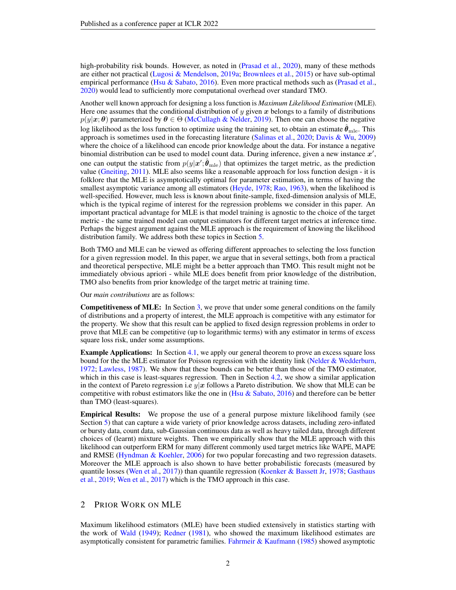high-probability risk bounds. However, as noted in [\(Prasad et al.,](#page-11-5) [2020\)](#page-11-5), many of these methods are either not practical [\(Lugosi & Mendelson,](#page-10-5) [2019a;](#page-10-5) [Brownlees et al.,](#page-9-1) [2015\)](#page-9-1) or have sub-optimal empirical performance (Hsu  $&$  Sabato, [2016\)](#page-10-4). Even more practical methods such as [\(Prasad et al.,](#page-11-5) [2020\)](#page-11-5) would lead to sufficiently more computational overhead over standard TMO.

Another well known approach for designing a loss function is *Maximum Likelihood Estimation* (MLE). Here one assumes that the conditional distribution of y given x belongs to a family of distributions  $p(y|x; \theta)$  parameterized by  $\theta \in \Theta$  [\(McCullagh & Nelder,](#page-11-6) [2019\)](#page-11-6). Then one can choose the negative log likelihood as the loss function to optimize using the training set, to obtain an estimate  $\theta_{\text{mle}}$ . This approach is sometimes used in the forecasting literature [\(Salinas et al.,](#page-11-1) [2020;](#page-11-1) [Davis & Wu,](#page-9-2) [2009\)](#page-9-2) where the choice of a likelihood can encode prior knowledge about the data. For instance a negative binomial distribution can be used to model count data. During inference, given a new instance  $x'$ , one can output the statistic from  $p(y|\mathbf{x}'; \hat{\boldsymbol{\theta}}_{mle})$  that optimizes the target metric, as the prediction value [\(Gneiting,](#page-10-6) [2011\)](#page-10-6). MLE also seems like a reasonable approach for loss function design - it is folklore that the MLE is asymptotically optimal for parameter estimation, in terms of having the smallest asymptotic variance among all estimators [\(Heyde,](#page-10-7) [1978;](#page-10-7) [Rao,](#page-11-7) [1963\)](#page-11-7), when the likelihood is well-specified. However, much less is known about finite-sample, fixed-dimension analysis of MLE, which is the typical regime of interest for the regression problems we consider in this paper. An important practical advantage for MLE is that model training is agnostic to the choice of the target metric - the same trained model can output estimators for different target metrics at inference time. Perhaps the biggest argument against the MLE approach is the requirement of knowing the likelihood distribution family. We address both these topics in Section [5.](#page-6-0)

Both TMO and MLE can be viewed as offering different approaches to selecting the loss function for a given regression model. In this paper, we argue that in several settings, both from a practical and theoretical perspective, MLE might be a better approach than TMO. This result might not be immediately obvious apriori - while MLE does benefit from prior knowledge of the distribution, TMO also benefits from prior knowledge of the target metric at training time.

### Our *main contributions* are as follows:

Competitiveness of MLE: In Section [3,](#page-2-0) we prove that under some general conditions on the family of distributions and a property of interest, the MLE approach is competitive with any estimator for the property. We show that this result can be applied to fixed design regression problems in order to prove that MLE can be competitive (up to logarithmic terms) with any estimator in terms of excess square loss risk, under some assumptions.

**Example Applications:** In Section [4.1,](#page-4-0) we apply our general theorem to prove an excess square loss bound for the the MLE estimator for Poisson regression with the identity link [\(Nelder & Wedderburn,](#page-11-8) [1972;](#page-11-8) [Lawless,](#page-10-8) [1987\)](#page-10-8). We show that these bounds can be better than those of the TMO estimator, which in this case is least-squares regression. Then in Section [4.2,](#page-5-0) we show a similar application in the context of Pareto regression i.e  $y|x$  follows a Pareto distribution. We show that MLE can be competitive with robust estimators like the one in (Hsu  $\&$  Sabato, [2016\)](#page-10-4) and therefore can be better than TMO (least-squares).

Empirical Results: We propose the use of a general purpose mixture likelihood family (see Section [5\)](#page-6-0) that can capture a wide variety of prior knowledge across datasets, including zero-inflated or bursty data, count data, sub-Gaussian continuous data as well as heavy tailed data, through different choices of (learnt) mixture weights. Then we empirically show that the MLE approach with this likelihood can outperform ERM for many different commonly used target metrics like WAPE, MAPE and RMSE [\(Hyndman & Koehler,](#page-10-9) [2006\)](#page-10-9) for two popular forecasting and two regression datasets. Moreover the MLE approach is also shown to have better probabilistic forecasts (measured by quantile losses [\(Wen et al.,](#page-11-9) [2017\)](#page-11-9)) than quantile regression [\(Koenker & Bassett Jr,](#page-10-10) [1978;](#page-10-10) [Gasthaus](#page-9-3) [et al.,](#page-9-3) [2019;](#page-9-3) [Wen et al.,](#page-11-9) [2017\)](#page-11-9) which is the TMO approach in this case.

# 2 PRIOR WORK ON MLE

Maximum likelihood estimators (MLE) have been studied extensively in statistics starting with the work of [Wald](#page-11-10) [\(1949\)](#page-11-10); [Redner](#page-11-11) [\(1981\)](#page-11-11), who showed the maximum likelihood estimates are asymptotically consistent for parametric families. [Fahrmeir & Kaufmann](#page-9-4) [\(1985\)](#page-9-4) showed asymptotic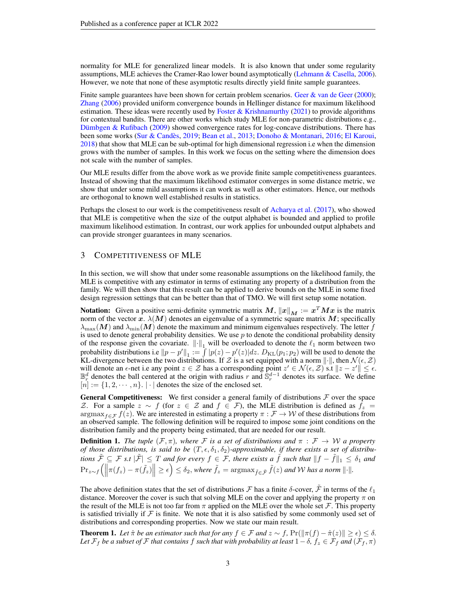normality for MLE for generalized linear models. It is also known that under some regularity assumptions, MLE achieves the Cramer-Rao lower bound asymptotically [\(Lehmann & Casella,](#page-10-11) [2006\)](#page-10-11). However, we note that none of these asymptotic results directly yield finite sample guarantees.

Finite sample guarantees have been shown for certain problem scenarios. Geer  $\&$  van de Geer [\(2000\)](#page-9-5); [Zhang](#page-12-2) [\(2006\)](#page-12-2) provided uniform convergence bounds in Hellinger distance for maximum likelihood estimation. These ideas were recently used by [Foster & Krishnamurthy](#page-9-6)  $(2021)$  to provide algorithms for contextual bandits. There are other works which study MLE for non-parametric distributions e.g., [Dümbgen & Rufibach](#page-9-7) [\(2009\)](#page-9-7) showed convergence rates for log-concave distributions. There has been some works [\(Sur & Candès,](#page-11-12) [2019;](#page-11-12) [Bean et al.,](#page-9-8) [2013;](#page-9-8) [Donoho & Montanari,](#page-9-9) [2016;](#page-9-9) [El Karoui,](#page-9-10) [2018\)](#page-9-10) that show that MLE can be sub-optimal for high dimensional regression i.e when the dimension grows with the number of samples. In this work we focus on the setting where the dimension does not scale with the number of samples.

Our MLE results differ from the above work as we provide finite sample competitiveness guarantees. Instead of showing that the maximum likelihood estimator converges in some distance metric, we show that under some mild assumptions it can work as well as other estimators. Hence, our methods are orthogonal to known well established results in statistics.

Perhaps the closest to our work is the competitiveness result of [Acharya et al.](#page-9-11) [\(2017\)](#page-9-11), who showed that MLE is competitive when the size of the output alphabet is bounded and applied to profile maximum likelihood estimation. In contrast, our work applies for unbounded output alphabets and can provide stronger guarantees in many scenarios.

### <span id="page-2-0"></span>3 COMPETITIVENESS OF MLE

In this section, we will show that under some reasonable assumptions on the likelihood family, the MLE is competitive with any estimator in terms of estimating any property of a distribution from the family. We will then show that this result can be applied to derive bounds on the MLE in some fixed design regression settings that can be better than that of TMO. We will first setup some notation.

**Notation:** Given a positive semi-definite symmetric matrix  $M$ ,  $||x||_M := x^T M x$  is the matrix norm of the vector x.  $\lambda(M)$  denotes an eigenvalue of a symmetric square matrix M; specifically  $\lambda_{\max}(M)$  and  $\lambda_{\min}(M)$  denote the maximum and minimum eigenvalues respectively. The letter f is used to denote general probability densities. We use  $p$  to denote the conditional probability density of the response given the covariate.  $\|\cdot\|_1$  will be overloaded to denote the  $\ell_1$  norm between two probability distributions i.e  $||p - p'||_1 := \int |p(z) - p'(z)| dz$ .  $D_{\text{KL}}(p_1; p_2)$  will be used to denote the KL-divergence between the two distributions. If Z is a set equipped with a norm  $\|\cdot\|$ , then  $\mathcal{N}(\epsilon, \mathcal{Z})$ will denote an  $\epsilon$ -net i.e any point  $z \in \mathcal{Z}$  has a corresponding point  $z' \in \mathcal{N}(\epsilon, \mathcal{Z})$  s.t  $||z - z'|| \leq \epsilon$ .  $\mathbb{B}_r^d$  denotes the ball centered at the origin with radius r and  $\mathbb{S}_r^{d-1}$  denotes its surface. We define  $[n] := \{1, 2, \dots, n\}. \mid \cdot \mid$  denotes the size of the enclosed set.

**General Competitiveness:** We first consider a general family of distributions  $F$  over the space *Z*. For a sample  $z \sim f$  (for  $z \in \mathcal{Z}$  and  $f \in \mathcal{F}$ ), the MLE distribution is defined as  $f_z =$  $\argmax_{f \in \mathcal{F}} f(z)$ . We are interested in estimating a property  $\pi : \mathcal{F} \to \mathcal{W}$  of these distributions from an observed sample. The following definition will be required to impose some joint conditions on the distribution family and the property being estimated, that are needed for our result.

<span id="page-2-2"></span>**Definition 1.** The tuple  $(F, \pi)$ , where F is a set of distributions and  $\pi : F \to W$  a property *of those distributions, is said to be*  $(T, \epsilon, \delta_1, \delta_2)$ -approximable, if there exists a set of distribu*tions*  $\tilde{\mathcal{F}} \subseteq \mathcal{F}$  *s.t*  $|\tilde{\mathcal{F}}| \leq T$  *and for every*  $f \in \mathcal{F}$ *, there exists a*  $\tilde{f}$  *such that*  $||f - \tilde{f}||_1 \leq \delta_1$  *and*  $\Pr_{z \sim f} \left( \left\| \pi(f_z) - \pi(\tilde{f}_z) \right\| \geq \epsilon \right) \leq \delta_2$ , where  $\tilde{f}_z = \operatorname{argmax}_{\tilde{f} \in \tilde{\mathcal{F}}} \tilde{f}(z)$  and W has a norm  $\|\cdot\|.$ 

The above definition states that the set of distributions F has a finite  $\delta$ -cover,  $\tilde{\mathcal{F}}$  in terms of the  $\ell_1$ distance. Moreover the cover is such that solving MLE on the cover and applying the property  $\pi$  on the result of the MLE is not too far from  $\pi$  applied on the MLE over the whole set  $\mathcal F$ . This property is satisfied trivially if  $F$  is finite. We note that it is also satisfied by some commonly used set of distributions and corresponding properties. Now we state our main result.

<span id="page-2-1"></span>**Theorem 1.** Let  $\hat{\pi}$  be an estimator such that for any  $f \in \mathcal{F}$  and  $z \sim f$ ,  $Pr(\|\pi(f) - \hat{\pi}(z)\| \geq \epsilon) \leq \delta$ . Let  $\mathcal{F}_f$  be a subset of  $\mathcal F$  *that contains*  $f$  *such that with probability at least*  $1-\delta$ *,*  $f_z \in \mathcal F_f$  *and* ( $\mathcal F_f$ *,*  $\pi$ )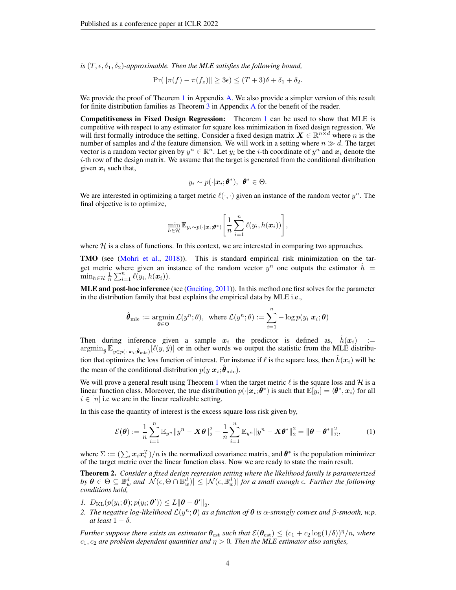*is*  $(T, \epsilon, \delta_1, \delta_2)$ -*approximable. Then the MLE satisfies the following bound,* 

$$
\Pr(\|\pi(f) - \pi(f_z)\| \ge 3\epsilon) \le (T+3)\delta + \delta_1 + \delta_2.
$$

We provide the proof of Theorem [1](#page-2-1) in Appendix [A.](#page-13-0) We also provide a simpler version of this result for finite distribution families as Theorem  $3$  in [A](#page-13-0)ppendix  $A$  for the benefit of the reader.

Competitiveness in Fixed Design Regression: Theorem [1](#page-2-1) can be used to show that MLE is competitive with respect to any estimator for square loss minimization in fixed design regression. We will first formally introduce the setting. Consider a fixed design matrix  $X \in \mathbb{R}^{n \times d}$  where n is the number of samples and d the feature dimension. We will work in a setting where  $n \gg d$ . The target vector is a random vector given by  $y^n \in \mathbb{R}^n$ . Let  $y_i$  be the *i*-th coordinate of  $y^n$  and  $x_i$  denote the  $i$ -th row of the design matrix. We assume that the target is generated from the conditional distribution given  $x_i$  such that,

$$
y_i \sim p(\cdot|\boldsymbol{x}_i;\boldsymbol{\theta}^*), \ \boldsymbol{\theta}^* \in \Theta.
$$

We are interested in optimizing a target metric  $\ell(\cdot, \cdot)$  given an instance of the random vector  $y^n$ . The final objective is to optimize,

$$
\min_{h \in \mathcal{H}} \mathbb{E}_{y_i \sim p(\cdot | \boldsymbol{x}_i; \boldsymbol{\theta}^*)} \left[ \frac{1}{n} \sum_{i=1}^n \ell(y_i, h(\boldsymbol{x}_i)) \right],
$$

where  $H$  is a class of functions. In this context, we are interested in comparing two approaches.

TMO (see [\(Mohri et al.,](#page-11-0) [2018\)](#page-11-0)). This is standard empirical risk minimization on the target metric where given an instance of the random vector  $y^n$  one outputs the estimator  $\hat{h}$  =  $\min_{h \in \mathcal{H}} \frac{1}{n} \sum_{i=1}^n \ell(y_i, h(\boldsymbol{x}_i)).$ 

MLE and post-hoc inference (see [\(Gneiting,](#page-10-6) [2011\)](#page-10-6)). In this method one first solves for the parameter in the distribution family that best explains the empirical data by MLE i.e.,

$$
\hat{\boldsymbol{\theta}}_{\text{mle}} := \operatornamewithlimits{argmin}_{\boldsymbol{\theta} \in \Theta} \mathcal{L}(y^n; \theta), \ \ \text{where } \mathcal{L}(y^n; \theta) := \sum_{i=1}^n -\log p(y_i|\boldsymbol{x}_i; \boldsymbol{\theta})
$$

Then during inference given a sample  $x_i$  the predictor is defined as,  $\tilde{h}(x_i)$  :=  $\operatorname{argmin}_{\hat{y}} \mathbb{E}_{y \in p(\cdot | \boldsymbol{x}_i; \hat{\boldsymbol{\theta}}_{\text{mle}})} [\ell(y, \hat{y})]$  or in other words we output the statistic from the MLE distribution that optimizes the loss function of interest. For instance if  $\ell$  is the square loss, then  $h(x_i)$  will be the mean of the conditional distribution  $p(y|\boldsymbol{x}_i;\hat{\boldsymbol{\theta}}_\text{mle}).$ 

We will prove a general result using Theorem [1](#page-2-1) when the target metric  $\ell$  is the square loss and  $\mathcal{H}$  is a linear function class. Moreover, the true distribution  $p(\cdot|\boldsymbol{x}_i;\boldsymbol{\theta}^*)$  is such that  $\mathbb{E}[\dot{y}_i] = \langle \boldsymbol{\theta}^*, \boldsymbol{x}_i \rangle$  for all  $i \in [n]$  i.e we are in the linear realizable setting.

In this case the quantity of interest is the excess square loss risk given by,

$$
\mathcal{E}(\boldsymbol{\theta}) := \frac{1}{n} \sum_{i=1}^{n} \mathbb{E}_{y^n} ||y^n - \boldsymbol{X}\boldsymbol{\theta}||_2^2 - \frac{1}{n} \sum_{i=1}^{n} \mathbb{E}_{y^n} ||y^n - \boldsymbol{X}\boldsymbol{\theta}^*||_2^2 = ||\boldsymbol{\theta} - \boldsymbol{\theta}^*||_{\Sigma}^2,
$$
 (1)

where  $\Sigma := (\sum_i x_i x_i^T)/n$  is the normalized covariance matrix, and  $\theta^*$  is the population minimizer of the target metric over the linear function class. Now we are ready to state the main result.

<span id="page-3-0"></span>Theorem 2. *Consider a fixed design regression setting where the likelihood family is parameterized*  $by \,\bm{\theta} \in \Theta \subseteq \mathbb{B}^d_w$  and  $|\check{\mathcal{N}}(\epsilon,\Theta \cap \check{\mathbb{B}}^d_w)| \leq |\mathcal{N}(\epsilon,\mathbb{B}^d_w)|$  *for a small enough*  $\epsilon$ . Further the following *conditions hold,*

- *1.*  $D_{\text{KL}}(p(y_i; \theta); p(y_i; \theta')) \leq L \|\theta \theta'\|_2$ .
- 2. *The negative log-likelihood*  $\mathcal{L}(y^n; \theta)$  *as a function of*  $\theta$  *is*  $\alpha$ -strongly convex and  $\beta$ -smooth, w.p. *at least*  $1 - \delta$ *.*

*Further suppose there exists an estimator*  $\theta_{est}$  *such that*  $\mathcal{E}(\theta_{est}) \leq (c_1 + c_2 \log(1/\delta))^{\eta} / n$ *, where*  $c_1, c_2$  are problem dependent quantities and  $\eta > 0$ . Then the MLE estimator also satisfies,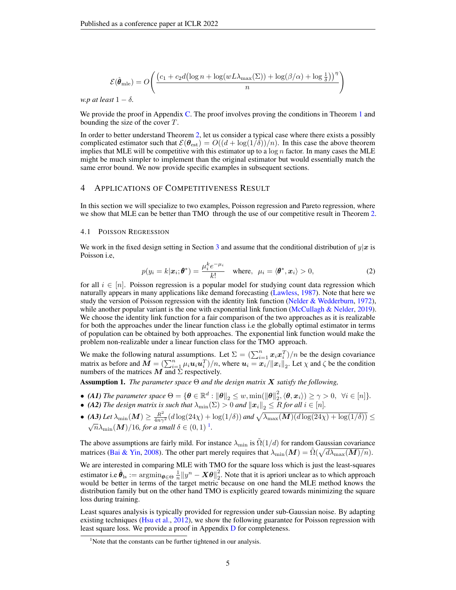$$
\mathcal{E}(\hat{\theta}_{\text{mle}}) = O\left(\frac{\left(c_1 + c_2 d \left(\log n + \log(w L \lambda_{\text{max}}(\Sigma)) + \log(\beta/\alpha) + \log \frac{1}{\delta}\right)\right)^{\eta}}{n}\right)
$$

*w.p at least*  $1 - \delta$ *.* 

We provide the proof in Appendix [C.](#page-15-0) The proof involves proving the conditions in Theorem [1](#page-2-1) and bounding the size of the cover  $T$ .

In order to better understand Theorem [2,](#page-3-0) let us consider a typical case where there exists a possibly complicated estimator such that  $\mathcal{E}(\theta_{est}) = O((d + \log(1/\delta))/n)$ . In this case the above theorem implies that MLE will be competitive with this estimator up to a  $\log n$  factor. In many cases the MLE might be much simpler to implement than the original estimator but would essentially match the same error bound. We now provide specific examples in subsequent sections.

### 4 APPLICATIONS OF COMPETITIVENESS RESULT

In this section we will specialize to two examples, Poisson regression and Pareto regression, where we show that MLE can be better than TMO through the use of our competitive result in Theorem [2.](#page-3-0)

#### <span id="page-4-0"></span>4.1 POISSON REGRESSION

We work in the fixed design setting in Section [3](#page-2-0) and assume that the conditional distribution of  $y|x$  is Poisson i.e,

$$
p(y_i = k | \boldsymbol{x}_i; \boldsymbol{\theta}^*) = \frac{\mu_i^k e^{-\mu_i}}{k!} \quad \text{where,} \quad \mu_i = \langle \boldsymbol{\theta}^*, \boldsymbol{x}_i \rangle > 0,
$$
 (2)

for all  $i \in [n]$ . Poisson regression is a popular model for studying count data regression which naturally appears in many applications like demand forecasting [\(Lawless,](#page-10-8) [1987\)](#page-10-8). Note that here we study the version of Poisson regression with the identity link function [\(Nelder & Wedderburn,](#page-11-8) [1972\)](#page-11-8), while another popular variant is the one with exponential link function [\(McCullagh & Nelder,](#page-11-6) [2019\)](#page-11-6). We choose the identity link function for a fair comparison of the two approaches as it is realizable for both the approaches under the linear function class i.e the globally optimal estimator in terms of population can be obtained by both approaches. The exponential link function would make the problem non-realizable under a linear function class for the TMO approach.

We make the following natural assumptions. Let  $\Sigma = (\sum_{i=1}^n x_i x_i^T)/n$  be the design covariance matrix as before and  $\mathbf{M} = (\sum_{i=1}^n \mu_i \mathbf{u}_i \mathbf{u}_i^T)/n$ , where  $\mathbf{u}_i = \mathbf{x}_i / ||\mathbf{x}_i||_2$ . Let  $\chi$  and  $\zeta$  be the condition numbers of the matrices  $\overline{M}$  and  $\Sigma$  respectively.

<span id="page-4-2"></span>Assumption 1. *The parameter space* Θ *and the design matrix* X *satisfy the following,*

- (A1) The parameter space  $\Theta = \{ \theta \in \mathbb{R}^d : ||\theta||_2 \leq w, \min(||\theta||_2^2, \langle \theta, x_i \rangle) \geq \gamma > 0, \forall i \in [n] \}.$
- *(A2) The design matrix is such that*  $\lambda_{\min}(\Sigma) > 0$  *and*  $\left\| \boldsymbol{x}_i \right\|_2 \leq R$  *for all*  $i \in [n]$ *.*
- (A3) Let  $\lambda_{\min}(M) \ge \frac{R^2}{4n\gamma^2} (d \log(24\chi) + \log(1/\delta))$  and  $\sqrt{\lambda_{\max}(M)(d \log(24\chi) + \log(1/\delta))} \le$  $\sqrt{n}\lambda_{\min}(\boldsymbol{M})/16$  $\sqrt{n}\lambda_{\min}(\boldsymbol{M})/16$  $\sqrt{n}\lambda_{\min}(\boldsymbol{M})/16$ , for a small  $\delta \in (0,1)$ *.*

The above assumptions are fairly mild. For instance  $\lambda_{\min}$  is  $\tilde{\Omega}(1/d)$  for random Gaussian covariance matrices [\(Bai & Yin,](#page-9-12) [2008\)](#page-9-12). The other part merely requires that  $\lambda_{\min}(M) = \tilde{\Omega}(\sqrt{d\lambda_{\max}(M)/n})$ .

We are interested in comparing MLE with TMO for the square loss which is just the least-squares estimator i.e  $\hat{\theta}_{ls} := \operatorname{argmin}_{\theta \in \Theta} \frac{1}{n} ||y^n - X\theta||_2^2$ . Note that it is apriori unclear as to which approach would be better in terms of the target metric because on one hand the MLE method knows the distribution family but on the other hand TMO is explicitly geared towards minimizing the square loss during training.

Least squares analysis is typically provided for regression under sub-Gaussian noise. By adapting existing techniques [\(Hsu et al.,](#page-10-12) [2012\)](#page-10-12), we show the following guarantee for Poisson regression with least square loss. We provide a proof in Appendix [D](#page-17-0) for completeness.

<span id="page-4-3"></span><span id="page-4-1"></span><sup>&</sup>lt;sup>1</sup>Note that the constants can be further tightened in our analysis.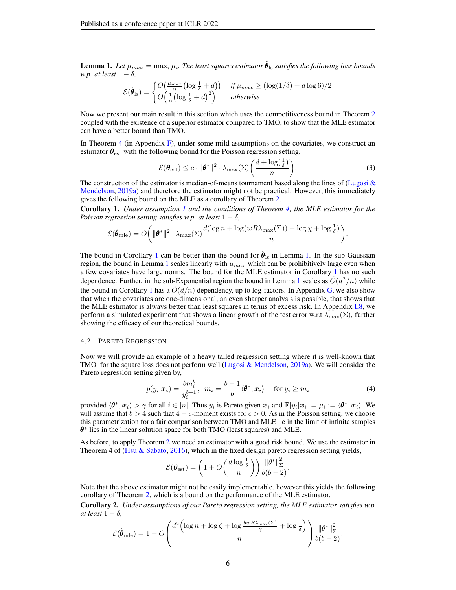**Lemma 1.** Let  $\mu_{max} = \max_i \mu_i$ . The least squares estimator  $\hat{\theta}_{ls}$  satisfies the following loss bounds *w.p. at least*  $1 - \delta$ *,* 

$$
\mathcal{E}(\hat{\theta}_{\text{ls}}) = \begin{cases} O\left(\frac{\mu_{max}}{n} \left( \log \frac{1}{\delta} + d \right) \right) & \text{if } \mu_{max} \ge \left( \log(1/\delta) + d \log 6 \right) / 2\\ O\left(\frac{1}{n} \left( \log \frac{1}{\delta} + d \right)^2 \right) & \text{otherwise} \end{cases}
$$

Now we present our main result in this section which uses the competitiveness bound in Theorem [2](#page-3-0) coupled with the existence of a superior estimator compared to TMO, to show that the MLE estimator can have a better bound than TMO.

In Theorem [4](#page-21-0) (in Appendix [F\)](#page-21-1), under some mild assumptions on the covariates, we construct an estimator  $\theta_{\text{est}}$  with the following bound for the Poisson regression setting,

$$
\mathcal{E}(\boldsymbol{\theta}_{\text{est}}) \le c \cdot ||\boldsymbol{\theta}^*||^2 \cdot \lambda_{\max}(\Sigma) \bigg(\frac{d + \log(\frac{1}{\delta})}{n}\bigg). \tag{3}
$$

The construction of the estimator is median-of-means tournament based along the lines of (Lugosi  $\&$ [Mendelson,](#page-10-5) [2019a\)](#page-10-5) and therefore the estimator might not be practical. However, this immediately gives the following bound on the MLE as a corollary of Theorem [2.](#page-3-0)

<span id="page-5-1"></span>Corollary 1. *Under assumption [1](#page-4-2) and the conditions of Theorem [4,](#page-21-0) the MLE estimator for the Poisson regression setting satisfies w.p. at least*  $1 - \delta$ *,* 

$$
\mathcal{E}(\hat{\pmb{\theta}}_{\mathrm{mle}})=O\bigg(\|\pmb{\theta}^*\|^2\cdot\lambda_{\max}(\Sigma)\frac{d(\log n+\log(wR\lambda_{\max}(\Sigma))+\log\chi+\log\frac{1}{\delta})}{n}\bigg).
$$

The bound in Corollary [1](#page-5-1) can be better than the bound for  $\hat{\theta}_{\rm ls}$  in Lemma [1.](#page-4-3) In the sub-Gaussian region, the bound in Lemma [1](#page-4-3) scales linearly with  $\mu_{max}$  which can be prohibitively large even when a few covariates have large norms. The bound for the MLE estimator in Corollary [1](#page-5-1) has no such dependence. Further, in the sub-Exponential region the bound in Lemma [1](#page-4-3) scales as  $O(d^2/n)$  while the bound in Corollary [1](#page-5-1) has a  $\tilde{O}(d/n)$  dependency, up to log-factors. In Appendix [G,](#page-22-0) we also show that when the covariates are one-dimensional, an even sharper analysis is possible, that shows that the MLE estimator is always better than least squares in terms of excess risk. In Appendix [I.8,](#page-30-0) we perform a simulated experiment that shows a linear growth of the test error w.r.t  $\lambda_{\text{max}}(\Sigma)$ , further showing the efficacy of our theoretical bounds.

#### <span id="page-5-0"></span>4.2 PARETO REGRESSION

Now we will provide an example of a heavy tailed regression setting where it is well-known that TMO for the square loss does not perform well [\(Lugosi & Mendelson,](#page-10-5) [2019a\)](#page-10-5). We will consider the Pareto regression setting given by,

$$
p(y_i|\boldsymbol{x}_i) = \frac{bm_i^b}{y_i^{b+1}}, \ \ m_i = \frac{b-1}{b} \langle \boldsymbol{\theta}^*, \boldsymbol{x}_i \rangle \quad \text{ for } y_i \ge m_i \tag{4}
$$

provided  $\langle \theta^*, x_i \rangle > \gamma$  for all  $i \in [n]$ . Thus  $y_i$  is Pareto given  $x_i$  and  $\mathbb{E}[y_i | x_i] = \mu_i := \langle \theta^*, x_i \rangle$ . We will assume that  $b > 4$  such that  $4 + \epsilon$ -moment exists for  $\epsilon > 0$ . As in the Poisson setting, we choose this parametrization for a fair comparison between TMO and MLE i.e in the limit of infinite samples  $\theta^*$  lies in the linear solution space for both TMO (least squares) and MLE.

As before, to apply Theorem [2](#page-3-0) we need an estimator with a good risk bound. We use the estimator in Theorem 4 of (Hsu  $\&$  Sabato, [2016\)](#page-10-4), which in the fixed design pareto regression setting yields,

$$
\mathcal{E}(\boldsymbol{\theta}_{\text{est}}) = \left(1 + O\left(\frac{d \log \frac{1}{\delta}}{n}\right)\right) \frac{\|\boldsymbol{\theta}^*\|_{\Sigma}^2}{b(b-2)}.
$$

Note that the above estimator might not be easily implementable, however this yields the following corollary of Theorem [2,](#page-3-0) which is a bound on the performance of the MLE estimator.

<span id="page-5-2"></span>Corollary 2. *Under assumptions of our Pareto regression setting, the MLE estimator satisfies w.p. at least*  $1 - \delta$ *,* 

$$
\mathcal{E}(\hat{\theta}_{\text{mle}}) = 1 + O\left(\frac{d^2\left(\log n + \log \zeta + \log \frac{b w R \lambda_{\text{max}}(\Sigma)}{\gamma} + \log \frac{1}{\delta}\right)}{n}\right) \frac{\|\theta^*\|_{\Sigma}^2}{b(b-2)}.
$$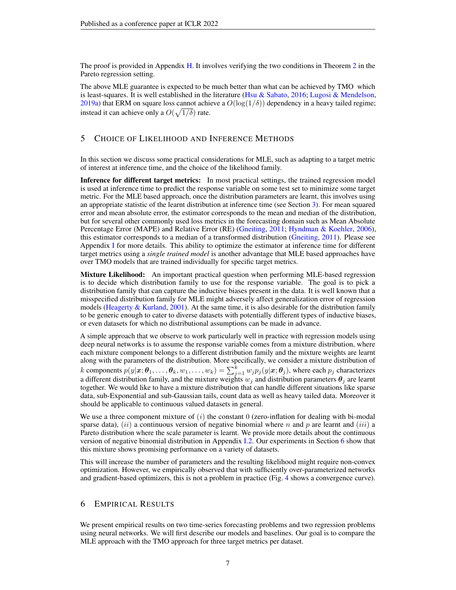The proof is provided in Appendix [H.](#page-25-0) It involves verifying the two conditions in Theorem [2](#page-3-0) in the Pareto regression setting.

The above MLE guarantee is expected to be much better than what can be achieved by TMO which is least-squares. It is well established in the literature [\(Hsu & Sabato,](#page-10-4) [2016;](#page-10-4) [Lugosi & Mendelson,](#page-10-5) [2019a\)](#page-10-5) that ERM on square loss cannot achieve a  $O(\log(1/\delta))$  dependency in a heavy tailed regime; instead it can achieve only a  $O(\sqrt{1/\delta})$  rate.

### <span id="page-6-0"></span>5 CHOICE OF LIKELIHOOD AND INFERENCE METHODS

In this section we discuss some practical considerations for MLE, such as adapting to a target metric of interest at inference time, and the choice of the likelihood family.

Inference for different target metrics: In most practical settings, the trained regression model is used at inference time to predict the response variable on some test set to minimize some target metric. For the MLE based approach, once the distribution parameters are learnt, this involves using an appropriate statistic of the learnt distribution at inference time (see Section [3\)](#page-2-0). For mean squared error and mean absolute error, the estimator corresponds to the mean and median of the distribution, but for several other commonly used loss metrics in the forecasting domain such as Mean Absolute Percentage Error (MAPE) and Relative Error (RE) [\(Gneiting,](#page-10-6) [2011;](#page-10-6) [Hyndman & Koehler,](#page-10-9) [2006\)](#page-10-9), this estimator corresponds to a median of a transformed distribution [\(Gneiting,](#page-10-6) [2011\)](#page-10-6). Please see Appendix [I](#page-26-0) for more details. This ability to optimize the estimator at inference time for different target metrics using a *single trained model* is another advantage that MLE based approaches have over TMO models that are trained individually for specific target metrics.

Mixture Likelihood: An important practical question when performing MLE-based regression is to decide which distribution family to use for the response variable. The goal is to pick a distribution family that can capture the inductive biases present in the data. It is well known that a misspecified distribution family for MLE might adversely affect generalization error of regression models (Heagerty  $&$  Kurland, [2001\)](#page-10-13). At the same time, it is also desirable for the distribution family to be generic enough to cater to diverse datasets with potentially different types of inductive biases, or even datasets for which no distributional assumptions can be made in advance.

A simple approach that we observe to work particularly well in practice with regression models using deep neural networks is to assume the response variable comes from a mixture distribution, where each mixture component belongs to a different distribution family and the mixture weights are learnt along with the parameters of the distribution. More specifically, we consider a mixture distribution of k components  $p(y|\bm{x};\bm{\theta}_1,\dots,\bm{\theta}_k,w_1,\dots,w_k) = \sum_{j=1}^k w_j p_j(y|\bm{x};\bm{\theta}_j)$ , where each  $p_j$  characterizes a different distribution family, and the mixture weights  $w_i$  and distribution parameters  $\theta_i$  are learnt together. We would like to have a mixture distribution that can handle different situations like sparse data, sub-Exponential and sub-Gaussian tails, count data as well as heavy tailed data. Moreover it should be applicable to continuous valued datasets in general.

We use a three component mixture of  $(i)$  the constant 0 (zero-inflation for dealing with bi-modal sparse data),  $(ii)$  a continuous version of negative binomial where n and p are learnt and  $(iii)$  a Pareto distribution where the scale parameter is learnt. We provide more details about the continuous version of negative binomial distribution in Appendix [I.2.](#page-27-0) Our experiments in Section [6](#page-6-1) show that this mixture shows promising performance on a variety of datasets.

This will increase the number of parameters and the resulting likelihood might require non-convex optimization. However, we empirically observed that with sufficiently over-parameterized networks and gradient-based optimizers, this is not a problem in practice (Fig. [4](#page-30-1) shows a convergence curve).

# <span id="page-6-1"></span>6 EMPIRICAL RESULTS

We present empirical results on two time-series forecasting problems and two regression problems using neural networks. We will first describe our models and baselines. Our goal is to compare the MLE approach with the TMO approach for three target metrics per dataset.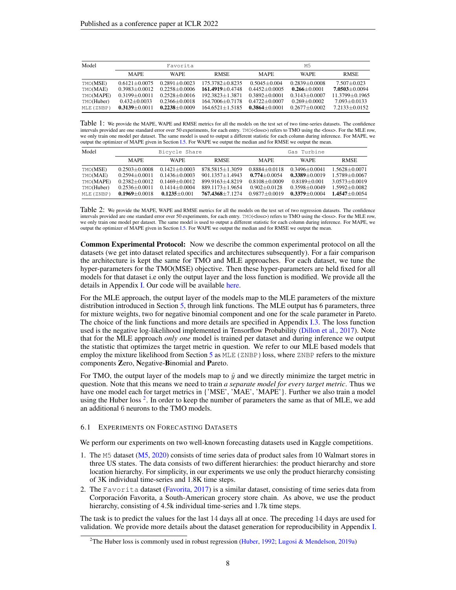<span id="page-7-1"></span>

| Model      |                   | Favorita          |                     |                   | M.5               |                    |
|------------|-------------------|-------------------|---------------------|-------------------|-------------------|--------------------|
|            | <b>MAPE</b>       | <b>WAPE</b>       | <b>RMSE</b>         | <b>MAPE</b>       | <b>WAPE</b>       | <b>RMSE</b>        |
| TMO(MSE)   | $0.6121 + 0.0075$ | $0.2891 + 0.0023$ | $175.3782 + 0.8235$ | $0.5045 + 0.004$  | $0.2839 + 0.0008$ | $7.507 + 0.023$    |
| TMO(MAE)   | $0.3983 + 0.0012$ | $0.2258 + 0.0006$ | $161.4919 + 0.4748$ | $0.4452 + 0.0005$ | $0.266 + 0.0001$  | $7.0503 + 0.0094$  |
| TMO(MAPE)  | $0.3199 + 0.0011$ | $0.2528 + 0.0016$ | $192.3823 + 1.3871$ | $0.3892 + 0.0001$ | $0.3143 + 0.0007$ | $11.3799 + 0.1965$ |
| TMO(Huber) | $0.432 + 0.0033$  | $0.2366 + 0.0018$ | $164.7006 + 0.7178$ | $0.4722 + 0.0007$ | $0.269 + 0.0002$  | $7.093 + 0.0133$   |
| MLE (ZNBP) | $0.3139 + 0.0011$ | $0.2238 + 0.0009$ | $164.6521 + 1.5185$ | $0.3864 + 0.0001$ | $0.2677 + 0.0002$ | $7.2133 + 0.0152$  |

Table 1: We provide the MAPE, WAPE and RMSE metrics for all the models on the test set of two time-series datasets. The confidence intervals provided are one standard error over 50 experiments, for each entry. TMO(<loss>) refers to TMO using the <loss>. For the MLE row, we only train one model per dataset. The same model is used to output a different statistic for each column during inference. For MAPE, we output the optimizer of MAPE given in Section [I.5.](#page-28-0) For WAPE we output the median and for RMSE we output the mean.

<span id="page-7-2"></span>

| Model                                                         | Bicycle Share                                                                                         |                                                                                                      |                                                                                                         | Gas Turbine                                                                                         |                                                                                                      |                                                                                                       |
|---------------------------------------------------------------|-------------------------------------------------------------------------------------------------------|------------------------------------------------------------------------------------------------------|---------------------------------------------------------------------------------------------------------|-----------------------------------------------------------------------------------------------------|------------------------------------------------------------------------------------------------------|-------------------------------------------------------------------------------------------------------|
|                                                               | <b>MAPE</b>                                                                                           | <b>WAPE</b>                                                                                          | <b>RMSE</b>                                                                                             | <b>MAPE</b>                                                                                         | <b>WAPE</b>                                                                                          | <b>RMSE</b>                                                                                           |
| TMO(MSE)<br>TMO(MAE)<br>TMO(MAPE)<br>TMO(Huber)<br>MLE (ZNBP) | $0.2503 + 0.0008$<br>$0.2594 + 0.0011$<br>$0.2382 + 0.0012$<br>$0.2536 + 0.0011$<br>$0.1969 + 0.0018$ | $0.1421 + 0.0003$<br>$0.1436 + 0.0003$<br>$0.1469 + 0.0012$<br>$0.1414 + 0.0004$<br>$0.1235 + 0.001$ | $878.5815 + 1.3059$<br>$901.1357 + 1.4943$<br>899.9163+4.8219<br>889.1173+1.9654<br>$767.4368 + 7.1274$ | $0.8884 + 0.0118$<br>$0.774 + 0.0054$<br>$0.8108 + 0.0009$<br>$0.902 + 0.0128$<br>$0.9877 + 0.0019$ | $0.3496 + 0.0041$<br>$0.3389 + 0.0019$<br>$0.8189 + 0.001$<br>$0.3598 + 0.0049$<br>$0.3379 + 0.0004$ | $1.5628 + 0.0071$<br>$1.5789 + 0.0067$<br>$3.0573 + 0.0019$<br>$1.5992 + 0.0082$<br>$1.4547 + 0.0054$ |

Table 2: We provide the MAPE, WAPE and RMSE metrics for all the models on the test set of two regression datasets. The confidence intervals provided are one standard error over 50 experiments, for each entry. TMO(<loss>) refers to TMO using the <loss>. For the MLE row, we only train one model per dataset. The same model is used to output a different statistic for each column during inference. For MAPE, we output the optimizer of MAPE given in Section [I.5.](#page-28-0) For WAPE we output the median and for RMSE we output the mean.

Common Experimental Protocol: Now we describe the common experimental protocol on all the datasets (we get into dataset related specifics and architectures subsequently). For a fair comparison the architecture is kept the same for TMO and MLE approaches. For each dataset, we tune the hyper-parameters for the TMO(MSE) objective. Then these hyper-parameters are held fixed for all models for that dataset i.e only the output layer and the loss function is modified. We provide all the details in Appendix [I.](#page-26-0) Our code will be available [here.](https://github.com/rajatsen91/mle_reg_forecast)

For the MLE approach, the output layer of the models map to the MLE parameters of the mixture distribution introduced in Section [5,](#page-6-0) through link functions. The MLE output has 6 parameters, three for mixture weights, two for negative binomial component and one for the scale parameter in Pareto. The choice of the link functions and more details are specified in Appendix [I.3.](#page-27-1) The loss function used is the negative log-likelihood implemented in Tensorflow Probability [\(Dillon et al.,](#page-9-13) [2017\)](#page-9-13). Note that for the MLE approach *only one* model is trained per dataset and during inference we output the statistic that optimizes the target metric in question. We refer to our MLE based models that employ the mixture likelihood from Section [5](#page-6-0) as  $MLE$  (ZNBP) loss, where ZNBP refers to the mixture components Zero, Negative-Binomial and Pareto.

For TMO, the output layer of the models map to  $\hat{y}$  and we directly minimize the target metric in question. Note that this means we need to train *a separate model for every target metric*. Thus we have one model each for target metrics in {'MSE', 'MAE', 'MAPE'}. Further we also train a model using the Huber loss<sup>[2](#page-7-0)</sup>. In order to keep the number of parameters the same as that of MLE, we add an additional 6 neurons to the TMO models.

#### 6.1 EXPERIMENTS ON FORECASTING DATASETS

We perform our experiments on two well-known forecasting datasets used in Kaggle competitions.

- 1. The M5 dataset [\(M5,](#page-10-14) [2020\)](#page-10-14) consists of time series data of product sales from 10 Walmart stores in three US states. The data consists of two different hierarchies: the product hierarchy and store location hierarchy. For simplicity, in our experiments we use only the product hierarchy consisting of 3K individual time-series and 1.8K time steps.
- 2. The Favorita dataset [\(Favorita,](#page-9-14) [2017\)](#page-9-14) is a similar dataset, consisting of time series data from Corporación Favorita, a South-American grocery store chain. As above, we use the product hierarchy, consisting of 4.5k individual time-series and 1.7k time steps.

The task is to predict the values for the last 14 days all at once. The preceding 14 days are used for validation. We provide more details about the dataset generation for reproducibility in Appendix [I.](#page-26-0)

<span id="page-7-0"></span><sup>&</sup>lt;sup>2</sup>The Huber loss is commonly used in robust regression [\(Huber,](#page-10-3) [1992;](#page-10-3) [Lugosi & Mendelson,](#page-10-5) [2019a\)](#page-10-5)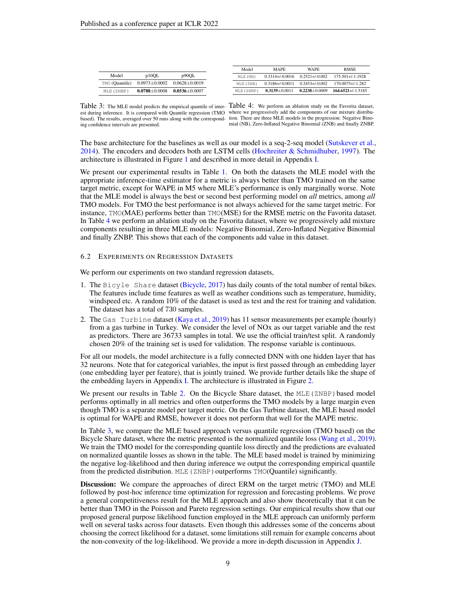<span id="page-8-0"></span>

| p90OL<br>p10OL<br>Model<br>$0.2521 + 0.002$<br>$0.3314 + 0.0016$<br>$175.501 + (-1.1928$<br>MLE (NB)<br>TMO (Quantile)<br>$0.0973 \pm 0.0002$<br>$0.0628 + 0.0019$<br>$0.2453 + 0.002$<br>$0.3186 + 0.0011$<br>$170.0075 + 1.282$<br>MLE (ZNB)<br>$0.2238 + 0.0009$<br>$0.3139 + 0.0011$<br>$0.0788 + 0.0008$<br>MLE (ZNBP)<br>$0.0536 + 0.0007$<br>MLE (ZNBP) |  |  | Model | <b>MAPE</b> | <b>WAPE</b> | <b>RMSE</b>            |
|----------------------------------------------------------------------------------------------------------------------------------------------------------------------------------------------------------------------------------------------------------------------------------------------------------------------------------------------------------------|--|--|-------|-------------|-------------|------------------------|
|                                                                                                                                                                                                                                                                                                                                                                |  |  |       |             |             |                        |
|                                                                                                                                                                                                                                                                                                                                                                |  |  |       |             |             |                        |
|                                                                                                                                                                                                                                                                                                                                                                |  |  |       |             |             | $164.6521 + (-1.5185)$ |

est during inference. It is compared with Quantile regression (TMO where we progressively add the components of our mixture distribubased). The results, averaged over 50 runs along with the correspond-tion. There are three MLE models in the progression: Negative Binoing confidence intervals are presented.

Table 3: The MLE model predicts the empirical quantile of inter- Table 4: We perform an ablation study on the Favorita dataset, mial (NB), Zero-Inflated Negative Binomial (ZNB) and finally ZNBP.

The base architecture for the baselines as well as our model is a seq-2-seq model [\(Sutskever et al.,](#page-11-13) [2014\)](#page-11-13). The encoders and decoders both are LSTM cells [\(Hochreiter & Schmidhuber,](#page-10-15) [1997\)](#page-10-15). The architecture is illustrated in Figure [1](#page-28-1) and described in more detail in Appendix [I.](#page-26-0)

We present our experimental results in Table [1.](#page-7-1) On both the datasets the MLE model with the appropriate inference-time estimator for a metric is always better than TMO trained on the same target metric, except for WAPE in M5 where MLE's performance is only marginally worse. Note that the MLE model is always the best or second best performing model on *all* metrics, among *all* TMO models. For TMO the best performance is not always achieved for the same target metric. For instance, TMO(MAE) performs better than TMO(MSE) for the RMSE metric on the Favorita dataset. In Table [4](#page-8-0) we perform an ablation study on the Favorita dataset, where we progressively add mixture components resulting in three MLE models: Negative Binomial, Zero-Inflated Negative Binomial and finally ZNBP. This shows that each of the components add value in this dataset.

#### 6.2 EXPERIMENTS ON REGRESSION DATASETS

We perform our experiments on two standard regression datasets,

- 1. The Bicyle Share dataset [\(Bicycle,](#page-9-15) [2017\)](#page-9-15) has daily counts of the total number of rental bikes. The features include time features as well as weather conditions such as temperature, humidity, windspeed etc. A random 10% of the dataset is used as test and the rest for training and validation. The dataset has a total of 730 samples.
- 2. The Gas Turbine dataset [\(Kaya et al.,](#page-10-16) [2019\)](#page-10-16) has 11 sensor measurements per example (hourly) from a gas turbine in Turkey. We consider the level of NOx as our target variable and the rest as predictors. There are 36733 samples in total. We use the official train/test split. A randomly chosen 20% of the training set is used for validation. The response variable is continuous.

For all our models, the model architecture is a fully connected DNN with one hidden layer that has 32 neurons. Note that for categorical variables, the input is first passed through an embedding layer (one embedding layer per feature), that is jointly trained. We provide further details like the shape of the embedding layers in Appendix [I.](#page-26-0) The architecture is illustrated in Figure [2.](#page-29-0)

We present our results in Table [2.](#page-7-2) On the Bicycle Share dataset, the MLE (ZNBP) based model performs optimally in all metrics and often outperforms the TMO models by a large margin even though TMO is a separate model per target metric. On the Gas Turbine dataset, the MLE based model is optimal for WAPE and RMSE, however it does not perform that well for the MAPE metric.

In Table [3,](#page-8-0) we compare the MLE based approach versus quantile regression (TMO based) on the Bicycle Share dataset, where the metric presented is the normalized quantile loss [\(Wang et al.,](#page-11-2) [2019\)](#page-11-2). We train the TMO model for the corresponding quantile loss directly and the predictions are evaluated on normalized quantile losses as shown in the table. The MLE based model is trained by minimizing the negative log-likelihood and then during inference we output the corresponding empirical quantile from the predicted distribution. MLE (ZNBP) outperforms TMO(Quantile) significantly.

Discussion: We compare the approaches of direct ERM on the target metric (TMO) and MLE followed by post-hoc inference time optimization for regression and forecasting problems. We prove a general competitiveness result for the MLE approach and also show theoretically that it can be better than TMO in the Poisson and Pareto regression settings. Our empirical results show that our proposed general purpose likelihood function employed in the MLE approach can uniformly perform well on several tasks across four datasets. Even though this addresses some of the concerns about choosing the correct likelihood for a dataset, some limitations still remain for example concerns about the non-convexity of the log-likelihood. We provide a more in-depth discussion in Appendix [J.](#page-30-2)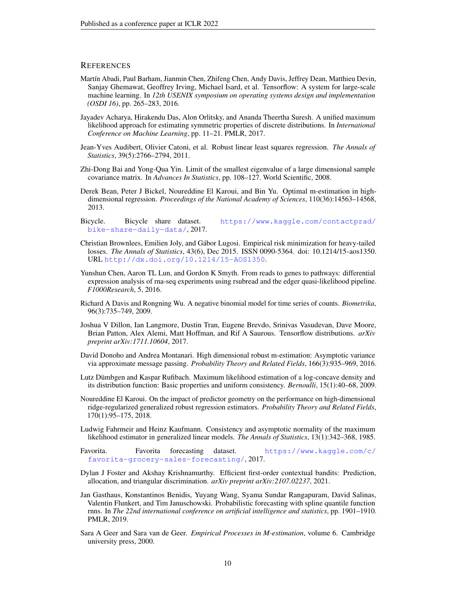### **REFERENCES**

- <span id="page-9-16"></span>Martín Abadi, Paul Barham, Jianmin Chen, Zhifeng Chen, Andy Davis, Jeffrey Dean, Matthieu Devin, Sanjay Ghemawat, Geoffrey Irving, Michael Isard, et al. Tensorflow: A system for large-scale machine learning. In *12th USENIX symposium on operating systems design and implementation (OSDI 16)*, pp. 265–283, 2016.
- <span id="page-9-11"></span>Jayadev Acharya, Hirakendu Das, Alon Orlitsky, and Ananda Theertha Suresh. A unified maximum likelihood approach for estimating symmetric properties of discrete distributions. In *International Conference on Machine Learning*, pp. 11–21. PMLR, 2017.
- <span id="page-9-0"></span>Jean-Yves Audibert, Olivier Catoni, et al. Robust linear least squares regression. *The Annals of Statistics*, 39(5):2766–2794, 2011.
- <span id="page-9-12"></span>Zhi-Dong Bai and Yong-Qua Yin. Limit of the smallest eigenvalue of a large dimensional sample covariance matrix. In *Advances In Statistics*, pp. 108–127. World Scientific, 2008.
- <span id="page-9-8"></span>Derek Bean, Peter J Bickel, Noureddine El Karoui, and Bin Yu. Optimal m-estimation in highdimensional regression. *Proceedings of the National Academy of Sciences*, 110(36):14563–14568, 2013.
- <span id="page-9-15"></span>Bicycle. Bicycle share dataset. [https://www.kaggle.com/contactprad/](https://www.kaggle.com/contactprad/bike-share-daily-data/) [bike-share-daily-data/](https://www.kaggle.com/contactprad/bike-share-daily-data/), 2017.
- <span id="page-9-1"></span>Christian Brownlees, Emilien Joly, and Gábor Lugosi. Empirical risk minimization for heavy-tailed losses. *The Annals of Statistics*, 43(6), Dec 2015. ISSN 0090-5364. doi: 10.1214/15-aos1350. URL <http://dx.doi.org/10.1214/15-AOS1350>.
- <span id="page-9-17"></span>Yunshun Chen, Aaron TL Lun, and Gordon K Smyth. From reads to genes to pathways: differential expression analysis of rna-seq experiments using rsubread and the edger quasi-likelihood pipeline. *F1000Research*, 5, 2016.
- <span id="page-9-2"></span>Richard A Davis and Rongning Wu. A negative binomial model for time series of counts. *Biometrika*, 96(3):735–749, 2009.
- <span id="page-9-13"></span>Joshua V Dillon, Ian Langmore, Dustin Tran, Eugene Brevdo, Srinivas Vasudevan, Dave Moore, Brian Patton, Alex Alemi, Matt Hoffman, and Rif A Saurous. Tensorflow distributions. *arXiv preprint arXiv:1711.10604*, 2017.
- <span id="page-9-9"></span>David Donoho and Andrea Montanari. High dimensional robust m-estimation: Asymptotic variance via approximate message passing. *Probability Theory and Related Fields*, 166(3):935–969, 2016.
- <span id="page-9-7"></span>Lutz Dümbgen and Kaspar Rufibach. Maximum likelihood estimation of a log-concave density and its distribution function: Basic properties and uniform consistency. *Bernoulli*, 15(1):40–68, 2009.
- <span id="page-9-10"></span>Noureddine El Karoui. On the impact of predictor geometry on the performance on high-dimensional ridge-regularized generalized robust regression estimators. *Probability Theory and Related Fields*, 170(1):95–175, 2018.
- <span id="page-9-4"></span>Ludwig Fahrmeir and Heinz Kaufmann. Consistency and asymptotic normality of the maximum likelihood estimator in generalized linear models. *The Annals of Statistics*, 13(1):342–368, 1985.
- <span id="page-9-14"></span>Favorita. Favorita forecasting dataset. [https://www.kaggle.com/c/](https://www.kaggle.com/c/favorita-grocery-sales-forecasting/) [favorita-grocery-sales-forecasting/](https://www.kaggle.com/c/favorita-grocery-sales-forecasting/), 2017.
- <span id="page-9-6"></span>Dylan J Foster and Akshay Krishnamurthy. Efficient first-order contextual bandits: Prediction, allocation, and triangular discrimination. *arXiv preprint arXiv:2107.02237*, 2021.
- <span id="page-9-3"></span>Jan Gasthaus, Konstantinos Benidis, Yuyang Wang, Syama Sundar Rangapuram, David Salinas, Valentin Flunkert, and Tim Januschowski. Probabilistic forecasting with spline quantile function rnns. In *The 22nd international conference on artificial intelligence and statistics*, pp. 1901–1910. PMLR, 2019.
- <span id="page-9-5"></span>Sara A Geer and Sara van de Geer. *Empirical Processes in M-estimation*, volume 6. Cambridge university press, 2000.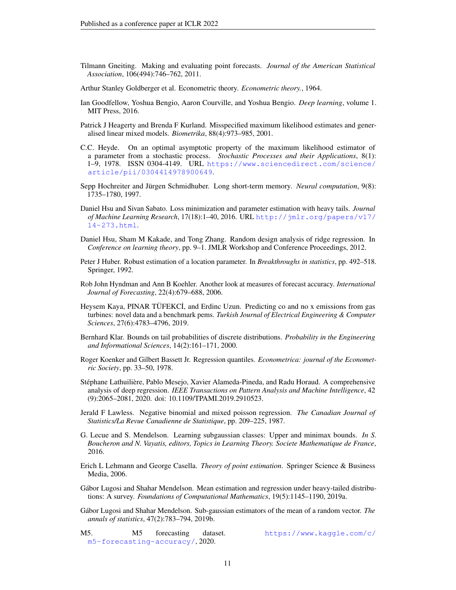- <span id="page-10-6"></span>Tilmann Gneiting. Making and evaluating point forecasts. *Journal of the American Statistical Association*, 106(494):746–762, 2011.
- <span id="page-10-1"></span>Arthur Stanley Goldberger et al. Econometric theory. *Econometric theory.*, 1964.
- <span id="page-10-19"></span>Ian Goodfellow, Yoshua Bengio, Aaron Courville, and Yoshua Bengio. *Deep learning*, volume 1. MIT Press, 2016.
- <span id="page-10-13"></span>Patrick J Heagerty and Brenda F Kurland. Misspecified maximum likelihood estimates and generalised linear mixed models. *Biometrika*, 88(4):973–985, 2001.
- <span id="page-10-7"></span>C.C. Heyde. On an optimal asymptotic property of the maximum likelihood estimator of a parameter from a stochastic process. *Stochastic Processes and their Applications*, 8(1): 1–9, 1978. ISSN 0304-4149. URL [https://www.sciencedirect.com/science/](https://www.sciencedirect.com/science/article/pii/0304414978900649) [article/pii/0304414978900649](https://www.sciencedirect.com/science/article/pii/0304414978900649).
- <span id="page-10-15"></span>Sepp Hochreiter and Jürgen Schmidhuber. Long short-term memory. *Neural computation*, 9(8): 1735–1780, 1997.
- <span id="page-10-4"></span>Daniel Hsu and Sivan Sabato. Loss minimization and parameter estimation with heavy tails. *Journal of Machine Learning Research*, 17(18):1–40, 2016. URL [http://jmlr.org/papers/v17/](http://jmlr.org/papers/v17/14-273.html) [14-273.html](http://jmlr.org/papers/v17/14-273.html).
- <span id="page-10-12"></span>Daniel Hsu, Sham M Kakade, and Tong Zhang. Random design analysis of ridge regression. In *Conference on learning theory*, pp. 9–1. JMLR Workshop and Conference Proceedings, 2012.
- <span id="page-10-3"></span>Peter J Huber. Robust estimation of a location parameter. In *Breakthroughs in statistics*, pp. 492–518. Springer, 1992.
- <span id="page-10-9"></span>Rob John Hyndman and Ann B Koehler. Another look at measures of forecast accuracy. *International Journal of Forecasting*, 22(4):679–688, 2006.
- <span id="page-10-16"></span>Heysem Kaya, PINAR TÜFEKCİ, and Erdinc Uzun. Predicting co and no x emissions from gas turbines: novel data and a benchmark pems. *Turkish Journal of Electrical Engineering & Computer Sciences*, 27(6):4783–4796, 2019.
- <span id="page-10-18"></span>Bernhard Klar. Bounds on tail probabilities of discrete distributions. *Probability in the Engineering and Informational Sciences*, 14(2):161–171, 2000.
- <span id="page-10-10"></span>Roger Koenker and Gilbert Bassett Jr. Regression quantiles. *Econometrica: journal of the Econometric Society*, pp. 33–50, 1978.
- <span id="page-10-0"></span>Stéphane Lathuilière, Pablo Mesejo, Xavier Alameda-Pineda, and Radu Horaud. A comprehensive analysis of deep regression. *IEEE Transactions on Pattern Analysis and Machine Intelligence*, 42 (9):2065–2081, 2020. doi: 10.1109/TPAMI.2019.2910523.
- <span id="page-10-8"></span>Jerald F Lawless. Negative binomial and mixed poisson regression. *The Canadian Journal of Statistics/La Revue Canadienne de Statistique*, pp. 209–225, 1987.
- <span id="page-10-2"></span>G. Lecue and S. Mendelson. Learning subgaussian classes: Upper and minimax bounds. *In S. Boucheron and N. Vayatis, editors, Topics in Learning Theory. Societe Mathematique de France*, 2016.
- <span id="page-10-11"></span>Erich L Lehmann and George Casella. *Theory of point estimation*. Springer Science & Business Media, 2006.
- <span id="page-10-5"></span>Gábor Lugosi and Shahar Mendelson. Mean estimation and regression under heavy-tailed distributions: A survey. *Foundations of Computational Mathematics*, 19(5):1145–1190, 2019a.
- <span id="page-10-17"></span>Gábor Lugosi and Shahar Mendelson. Sub-gaussian estimators of the mean of a random vector. *The annals of statistics*, 47(2):783–794, 2019b.
- <span id="page-10-14"></span>M5. M5 forecasting dataset. [https://www.kaggle.com/c/](https://www.kaggle.com/c/m5-forecasting-accuracy/) [m5-forecasting-accuracy/](https://www.kaggle.com/c/m5-forecasting-accuracy/), 2020.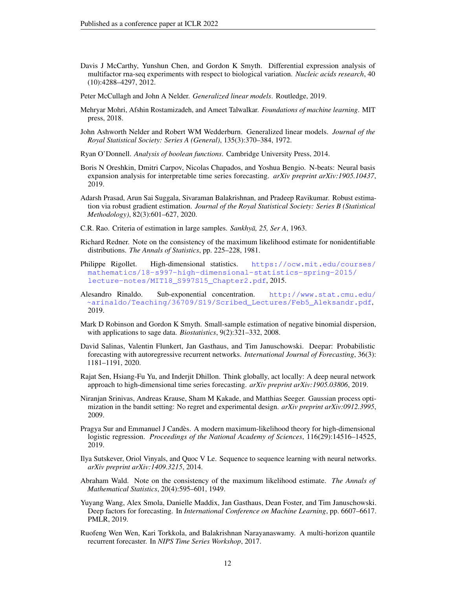<span id="page-11-18"></span>Davis J McCarthy, Yunshun Chen, and Gordon K Smyth. Differential expression analysis of multifactor rna-seq experiments with respect to biological variation. *Nucleic acids research*, 40 (10):4288–4297, 2012.

<span id="page-11-6"></span>Peter McCullagh and John A Nelder. *Generalized linear models*. Routledge, 2019.

- <span id="page-11-0"></span>Mehryar Mohri, Afshin Rostamizadeh, and Ameet Talwalkar. *Foundations of machine learning*. MIT press, 2018.
- <span id="page-11-8"></span>John Ashworth Nelder and Robert WM Wedderburn. Generalized linear models. *Journal of the Royal Statistical Society: Series A (General)*, 135(3):370–384, 1972.
- <span id="page-11-16"></span>Ryan O'Donnell. *Analysis of boolean functions*. Cambridge University Press, 2014.
- <span id="page-11-3"></span>Boris N Oreshkin, Dmitri Carpov, Nicolas Chapados, and Yoshua Bengio. N-beats: Neural basis expansion analysis for interpretable time series forecasting. *arXiv preprint arXiv:1905.10437*, 2019.
- <span id="page-11-5"></span>Adarsh Prasad, Arun Sai Suggala, Sivaraman Balakrishnan, and Pradeep Ravikumar. Robust estimation via robust gradient estimation. *Journal of the Royal Statistical Society: Series B (Statistical Methodology)*, 82(3):601–627, 2020.
- <span id="page-11-7"></span>C.R. Rao. Criteria of estimation in large samples. *Sankhyā*, 25, Ser A, 1963.
- <span id="page-11-11"></span>Richard Redner. Note on the consistency of the maximum likelihood estimate for nonidentifiable distributions. *The Annals of Statistics*, pp. 225–228, 1981.
- <span id="page-11-14"></span>Philippe Rigollet. High-dimensional statistics. [https://ocw.mit.edu/courses/](https://ocw.mit.edu/courses/mathematics/18-s997-high-dimensional-statistics-spring-2015/lecture-notes/MIT18_S997S15_Chapter2.pdf) [mathematics/18-s997-high-dimensional-statistics-spring-2015/](https://ocw.mit.edu/courses/mathematics/18-s997-high-dimensional-statistics-spring-2015/lecture-notes/MIT18_S997S15_Chapter2.pdf) [lecture-notes/MIT18\\_S997S15\\_Chapter2.pdf](https://ocw.mit.edu/courses/mathematics/18-s997-high-dimensional-statistics-spring-2015/lecture-notes/MIT18_S997S15_Chapter2.pdf), 2015.
- <span id="page-11-15"></span>Alesandro Rinaldo. Sub-exponential concentration. [http://www.stat.cmu.edu/](http://www.stat.cmu.edu/~arinaldo/Teaching/36709/S19/Scribed_Lectures/Feb5_Aleksandr.pdf) [~arinaldo/Teaching/36709/S19/Scribed\\_Lectures/Feb5\\_Aleksandr.pdf](http://www.stat.cmu.edu/~arinaldo/Teaching/36709/S19/Scribed_Lectures/Feb5_Aleksandr.pdf), 2019.
- <span id="page-11-17"></span>Mark D Robinson and Gordon K Smyth. Small-sample estimation of negative binomial dispersion, with applications to sage data. *Biostatistics*, 9(2):321–332, 2008.
- <span id="page-11-1"></span>David Salinas, Valentin Flunkert, Jan Gasthaus, and Tim Januschowski. Deepar: Probabilistic forecasting with autoregressive recurrent networks. *International Journal of Forecasting*, 36(3): 1181–1191, 2020.
- <span id="page-11-4"></span>Rajat Sen, Hsiang-Fu Yu, and Inderjit Dhillon. Think globally, act locally: A deep neural network approach to high-dimensional time series forecasting. *arXiv preprint arXiv:1905.03806*, 2019.
- <span id="page-11-19"></span>Niranjan Srinivas, Andreas Krause, Sham M Kakade, and Matthias Seeger. Gaussian process optimization in the bandit setting: No regret and experimental design. *arXiv preprint arXiv:0912.3995*, 2009.
- <span id="page-11-12"></span>Pragya Sur and Emmanuel J Candès. A modern maximum-likelihood theory for high-dimensional logistic regression. *Proceedings of the National Academy of Sciences*, 116(29):14516–14525, 2019.
- <span id="page-11-13"></span>Ilya Sutskever, Oriol Vinyals, and Quoc V Le. Sequence to sequence learning with neural networks. *arXiv preprint arXiv:1409.3215*, 2014.
- <span id="page-11-10"></span>Abraham Wald. Note on the consistency of the maximum likelihood estimate. *The Annals of Mathematical Statistics*, 20(4):595–601, 1949.
- <span id="page-11-2"></span>Yuyang Wang, Alex Smola, Danielle Maddix, Jan Gasthaus, Dean Foster, and Tim Januschowski. Deep factors for forecasting. In *International Conference on Machine Learning*, pp. 6607–6617. PMLR, 2019.
- <span id="page-11-9"></span>Ruofeng Wen Wen, Kari Torkkola, and Balakrishnan Narayanaswamy. A multi-horizon quantile recurrent forecaster. In *NIPS Time Series Workshop*, 2017.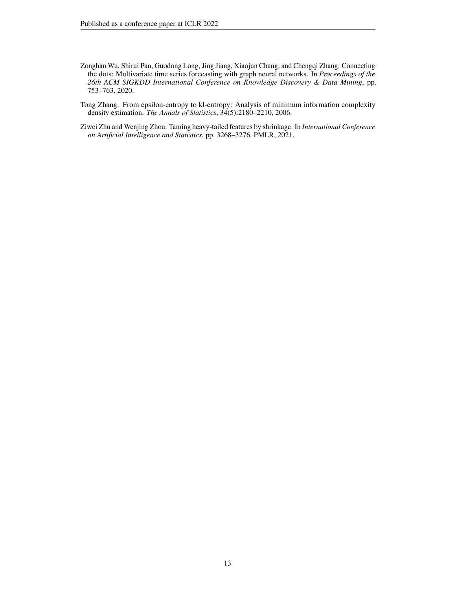- <span id="page-12-0"></span>Zonghan Wu, Shirui Pan, Guodong Long, Jing Jiang, Xiaojun Chang, and Chengqi Zhang. Connecting the dots: Multivariate time series forecasting with graph neural networks. In *Proceedings of the 26th ACM SIGKDD International Conference on Knowledge Discovery & Data Mining*, pp. 753–763, 2020.
- <span id="page-12-2"></span>Tong Zhang. From epsilon-entropy to kl-entropy: Analysis of minimum information complexity density estimation. *The Annals of Statistics*, 34(5):2180–2210, 2006.
- <span id="page-12-1"></span>Ziwei Zhu and Wenjing Zhou. Taming heavy-tailed features by shrinkage. In *International Conference on Artificial Intelligence and Statistics*, pp. 3268–3276. PMLR, 2021.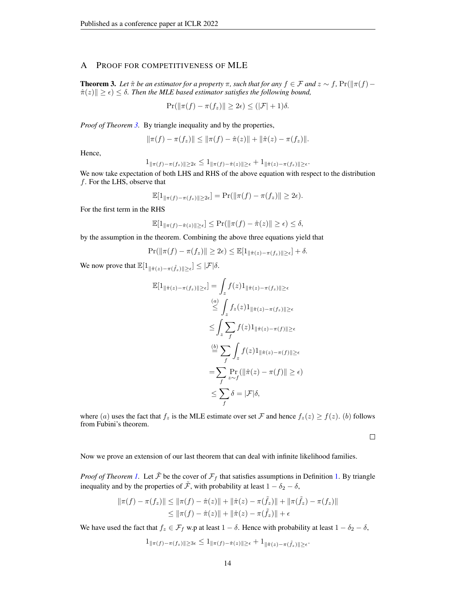# <span id="page-13-0"></span>A PROOF FOR COMPETITIVENESS OF MLE

<span id="page-13-1"></span>**Theorem 3.** *Let*  $\hat{\pi}$  *be an estimator for a property*  $\pi$ *, such that for any*  $f \in \mathcal{F}$  *and*  $z \sim f$ *,* Pr( $\|\pi(f) - f\|$  $\|\hat{\pi}(z)\| \geq \epsilon$ )  $\leq \delta$ . Then the MLE based estimator satisfies the following bound,

$$
\Pr(\|\pi(f) - \pi(f_z)\| \ge 2\epsilon) \le (|\mathcal{F}| + 1)\delta.
$$

*Proof of Theorem [3.](#page-13-1)* By triangle inequality and by the properties,

$$
\|\pi(f) - \pi(f_z)\| \le \|\pi(f) - \hat{\pi}(z)\| + \|\hat{\pi}(z) - \pi(f_z)\|.
$$

Hence,

$$
1_{\|\pi(f) - \pi(f_z)\| \ge 2\epsilon} \le 1_{\|\pi(f) - \hat{\pi}(z)\| \ge \epsilon} + 1_{\|\hat{\pi}(z) - \pi(f_z)\| \ge \epsilon}
$$

.

We now take expectation of both LHS and RHS of the above equation with respect to the distribution f. For the LHS, observe that

$$
\mathbb{E}[1_{\|\pi(f) - \pi(f_z)\| \ge 2\epsilon}] = \Pr(\|\pi(f) - \pi(f_z)\| \ge 2\epsilon).
$$

For the first term in the RHS

$$
\mathbb{E}[1_{\|\pi(f) - \hat{\pi}(z)\| \geq \epsilon}] \leq \Pr(\|\pi(f) - \hat{\pi}(z)\| \geq \epsilon) \leq \delta,
$$

by the assumption in the theorem. Combining the above three equations yield that

$$
\Pr(\|\pi(f) - \pi(f_z)\| \ge 2\epsilon) \le \mathbb{E}[\mathbf{1}_{\|\hat{\pi}(z) - \pi(f_z)\| \ge \epsilon}] + \delta.
$$

We now prove that  $\mathbb{E}[1_{\|\hat{\pi}(z)-\pi(\tilde{f}_z)\|\geq \epsilon}]\leq |\mathcal{F}|\delta$ .

$$
\mathbb{E}[1_{\|\hat{\pi}(z) - \pi(f_z)\| \ge \epsilon}] = \int_z f(z)1_{\|\hat{\pi}(z) - \pi(f_z)\| \ge \epsilon}
$$
  
\n
$$
\stackrel{(a)}{\le} \int_z f_z(z)1_{\|\hat{\pi}(z) - \pi(f_z)\| \ge \epsilon}
$$
  
\n
$$
\le \int_z \sum_f f(z)1_{\|\hat{\pi}(z) - \pi(f)\| \ge \epsilon}
$$
  
\n
$$
\stackrel{(b)}{=} \sum_f \int_z f(z)1_{\|\hat{\pi}(z) - \pi(f)\| \ge \epsilon}
$$
  
\n
$$
= \sum_f \Pr_z(||\hat{\pi}(z) - \pi(f)|| \ge \epsilon)
$$
  
\n
$$
\le \sum_f \delta = |\mathcal{F}|\delta,
$$

where (a) uses the fact that  $f_z$  is the MLE estimate over set F and hence  $f_z(z) \ge f(z)$ . (b) follows from Fubini's theorem.

 $\Box$ 

Now we prove an extension of our last theorem that can deal with infinite likelihood families.

*Proof of Theorem [1.](#page-2-2)* Let  $\tilde{\mathcal{F}}$  be the cover of  $\mathcal{F}_f$  that satisfies assumptions in Definition 1. By triangle inequality and by the properties of  $\tilde{\mathcal{F}}$ , with probability at least  $1 - \delta_2 - \delta$ ,

$$
\|\pi(f) - \pi(f_z)\| \le \|\pi(f) - \hat{\pi}(z)\| + \|\hat{\pi}(z) - \pi(\tilde{f}_z)\| + \|\pi(\tilde{f}_z) - \pi(f_z)\|
$$
  

$$
\le \|\pi(f) - \hat{\pi}(z)\| + \|\hat{\pi}(z) - \pi(\tilde{f}_z)\| + \epsilon
$$

We have used the fact that  $f_z \in \mathcal{F}_f$  w.p at least  $1 - \delta$ . Hence with probability at least  $1 - \delta_2 - \delta$ ,

$$
1_{\|\pi(f)-\pi(f_z)\|\geq 3\epsilon}\leq 1_{\|\pi(f)-\hat{\pi}(z)\|\geq \epsilon}+1_{\|\hat{\pi}(z)-\pi(\tilde{f}_z)\|\geq \epsilon}.
$$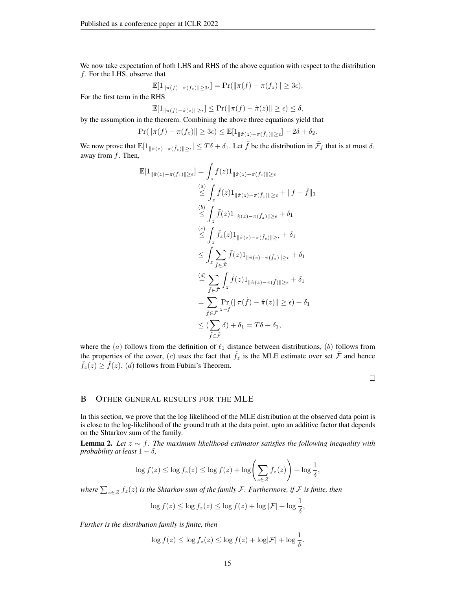We now take expectation of both LHS and RHS of the above equation with respect to the distribution f. For the LHS, observe that

$$
\mathbb{E}[1_{\|\pi(f)-\pi(f_z)\|\geq 3\epsilon}] = \Pr(\|\pi(f)-\pi(f_z)\|\geq 3\epsilon).
$$

For the first term in the RHS

$$
\mathbb{E}[1_{\|\pi(f) - \hat{\pi}(z)\| \geq \epsilon}] \leq \Pr(\|\pi(f) - \hat{\pi}(z)\| \geq \epsilon) \leq \delta,
$$

by the assumption in the theorem. Combining the above three equations yield that

$$
\Pr(||\pi(f) - \pi(f_z)|| \ge 3\epsilon) \le \mathbb{E}[1_{||\hat{\pi}(z) - \pi(\tilde{f}_z)|| \ge \epsilon}] + 2\delta + \delta_2.
$$

We now prove that  $\mathbb{E}[1_{\|\hat{\pi}(z)-\pi(\tilde{f}_z)\|\geq \epsilon}]\leq T\delta+\delta_1$ . Let  $\tilde{f}$  be the distribution in  $\tilde{\mathcal{F}}_f$  that is at most  $\delta_1$ away from  $f$ . Then,

$$
\mathbb{E}[1_{\|\hat{\pi}(z) - \pi(\tilde{f}_z)\| \geq \epsilon}] = \int_z f(z) 1_{\|\hat{\pi}(z) - \pi(\tilde{f}_z)\| \geq \epsilon}
$$
\n
$$
\overset{(a)}{\leq} \int_z \tilde{f}(z) 1_{\|\hat{\pi}(z) - \pi(\tilde{f}_z)\| \geq \epsilon} + \|f - \tilde{f}\|_1
$$
\n
$$
\overset{(b)}{\leq} \int_z \tilde{f}(z) 1_{\|\hat{\pi}(z) - \pi(\tilde{f}_z)\| \geq \epsilon} + \delta_1
$$
\n
$$
\overset{(c)}{\leq} \int_z \tilde{f}_z(z) 1_{\|\hat{\pi}(z) - \pi(\tilde{f}_z)\| \geq \epsilon} + \delta_1
$$
\n
$$
\overset{(d)}{\leq} \int_z \sum_{\tilde{f} \in \tilde{\mathcal{F}}} \tilde{f}(z) 1_{\|\hat{\pi}(z) - \pi(\tilde{f}_z)\| \geq \epsilon} + \delta_1
$$
\n
$$
\overset{(d)}{=} \sum_{\tilde{f} \in \tilde{\mathcal{F}}} \int_z \tilde{f}(z) 1_{\|\hat{\pi}(z) - \pi(\tilde{f})\| \geq \epsilon} + \delta_1
$$
\n
$$
= \sum_{\tilde{f} \in \tilde{\mathcal{F}}} \Pr_z(||\pi(\tilde{f}) - \hat{\pi}(z)|| \geq \epsilon) + \delta_1
$$
\n
$$
\leq (\sum_{\tilde{f} \in \tilde{\mathcal{F}}} \delta) + \delta_1 = T\delta + \delta_1,
$$

where the  $(a)$  follows from the definition of  $\ell_1$  distance between distributions,  $(b)$  follows from the properties of the cover, (c) uses the fact that  $\tilde{f}_z$  is the MLE estimate over set  $\tilde{\mathcal{F}}$  and hence  $\hat{f}_z(z) \geq \hat{f}(z)$ . (d) follows from Fubini's Theorem.

 $\Box$ 

### B OTHER GENERAL RESULTS FOR THE MLE

In this section, we prove that the log likelihood of the MLE distribution at the observed data point is is close to the log-likelihood of the ground truth at the data point, upto an additive factor that depends on the Shtarkov sum of the family.

Lemma 2. *Let* z ∼ f*. The maximum likelihood estimator satisfies the following inequality with probability at least*  $1 - \delta$ *,* 

$$
\log f(z) \le \log f_z(z) \le \log f(z) + \log \left( \sum_{z \in \mathcal{Z}} f_z(z) \right) + \log \frac{1}{\delta},
$$

where  $\sum_{z\in\mathcal{Z}}f_z(z)$  *is the Shtarkov sum of the family F*. Furthermore, if F *is finite, then* 

$$
\log f(z) \le \log f_z(z) \le \log f(z) + \log |\mathcal{F}| + \log \frac{1}{\delta},
$$

*Further is the distribution family is finite, then*

$$
\log f(z) \le \log f_z(z) \le \log f(z) + \log |\mathcal{F}| + \log \frac{1}{\delta}.
$$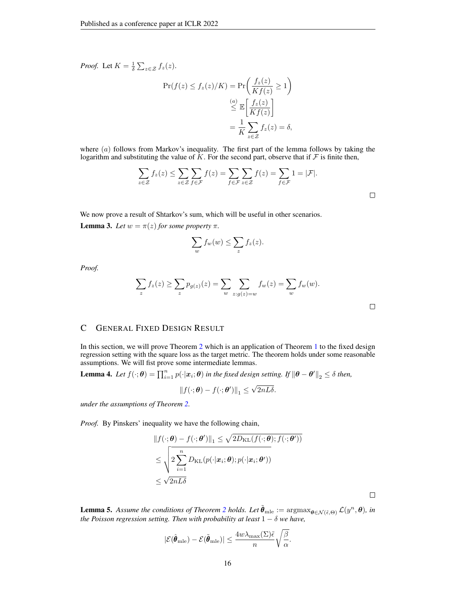*Proof.* Let  $K = \frac{1}{\delta} \sum_{z \in \mathcal{Z}} f_z(z)$ .

$$
\Pr(f(z) \le f_z(z)/K) = \Pr\left(\frac{f_z(z)}{Kf(z)} \ge 1\right)
$$

$$
\le \mathbb{E}\left[\frac{f_z(z)}{Kf(z)}\right]
$$

$$
= \frac{1}{K}\sum_{z \in \mathcal{Z}} f_z(z) = \delta,
$$

where  $(a)$  follows from Markov's inequality. The first part of the lemma follows by taking the logarithm and substituting the value of  $K$ . For the second part, observe that if  $\mathcal F$  is finite then,

$$
\sum_{z \in \mathcal{Z}} f_z(z) \le \sum_{z \in \mathcal{Z}} \sum_{f \in \mathcal{F}} f(z) = \sum_{f \in \mathcal{F}} \sum_{z \in \mathcal{Z}} f(z) = \sum_{f \in \mathcal{F}} 1 = |\mathcal{F}|.
$$

We now prove a result of Shtarkov's sum, which will be useful in other scenarios. **Lemma 3.** *Let*  $w = \pi(z)$  *for some property*  $\pi$ *.* 

$$
\sum_{w} f_w(w) \le \sum_{z} f_z(z).
$$

*Proof.*

$$
\sum_{z} f_z(z) \ge \sum_{z} p_{g(z)}(z) = \sum_{w} \sum_{z:g(z)=w} f_w(z) = \sum_{w} f_w(w).
$$

# <span id="page-15-0"></span>C GENERAL FIXED DESIGN RESULT

In this section, we will prove Theorem [2](#page-3-0) which is an application of Theorem [1](#page-2-1) to the fixed design regression setting with the square loss as the target metric. The theorem holds under some reasonable assumptions. We will fist prove some intermediate lemmas.

<span id="page-15-1"></span>**Lemma 4.** Let  $f(\cdot; \theta) = \prod_{i=1}^n p(\cdot | \boldsymbol{x}_i; \theta)$  in the fixed design setting. If  $\|\theta - \theta'\|_2 \leq \delta$  then,

$$
\|f(\cdot;\boldsymbol{\theta})-f(\cdot;\boldsymbol{\theta}')\|_1 \leq \sqrt{2nL\delta}.
$$

*under the assumptions of Theorem [2.](#page-3-0)*

*Proof.* By Pinskers' inequality we have the following chain,

$$
||f(\cdot; \boldsymbol{\theta}) - f(\cdot; \boldsymbol{\theta}')||_1 \leq \sqrt{2D_{\text{KL}}(f(\cdot; \boldsymbol{\theta}); f(\cdot; \boldsymbol{\theta}'))}
$$
  

$$
\leq \sqrt{2\sum_{i=1}^n D_{\text{KL}}(p(\cdot|\boldsymbol{x}_i; \boldsymbol{\theta}); p(\cdot|\boldsymbol{x}_i; \boldsymbol{\theta}'))}
$$
  

$$
\leq \sqrt{2nL\delta}
$$

<span id="page-15-2"></span>**Lemma 5.** Assume the conditions of Theorem [2](#page-3-0) holds. Let  $\tilde{\theta}_{\text{mle}} := \arg \max_{\theta \in \mathcal{N}(\tilde{\epsilon},\Theta)} \mathcal{L}(y^n, \theta)$ , in *the Poisson regression setting. Then with probability at least*  $1 - \delta$  *we have,* 

$$
|\mathcal{E}(\hat{\boldsymbol{\theta}}_{\text{mle}}) - \mathcal{E}(\tilde{\boldsymbol{\theta}}_{\text{mle}})| \le \frac{4w\lambda_{\text{max}}(\Sigma)\tilde{\epsilon}}{n} \sqrt{\frac{\beta}{\alpha}}.
$$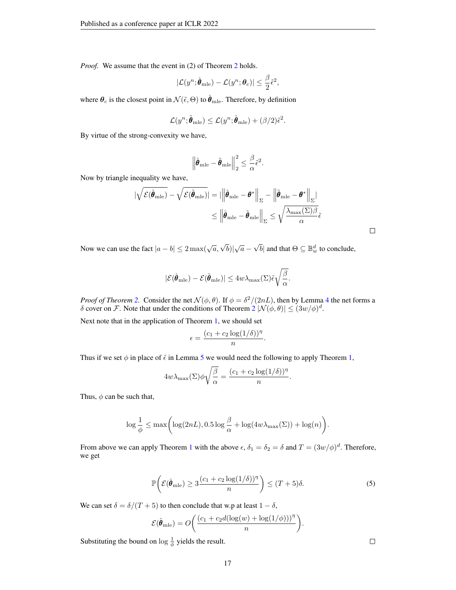*Proof.* We assume that the event in ([2](#page-3-0)) of Theorem 2 holds.

$$
|\mathcal{L}(y^n; \hat{\boldsymbol{\theta}}_{\text{mle}}) - \mathcal{L}(y^n; \boldsymbol{\theta}_c)| \leq \frac{\beta}{2} \tilde{\epsilon}^2,
$$

where  $\theta_c$  is the closest point in  $\mathcal{N}(\tilde{\epsilon}, \Theta)$  to  $\tilde{\theta}_{\text{mle}}$ . Therefore, by definition

$$
\mathcal{L}(y^n; \tilde{\boldsymbol{\theta}}_{\text{mle}}) \le \mathcal{L}(y^n; \hat{\boldsymbol{\theta}}_{\text{mle}}) + (\beta/2)\tilde{\epsilon}^2.
$$

By virtue of the strong-convexity we have,

$$
\left\|\hat{\boldsymbol{\theta}}_{\text{mle}} - \tilde{\boldsymbol{\theta}}_{\text{mle}}\right\|_2^2 \le \frac{\beta}{\alpha} \tilde{\epsilon}^2.
$$

Now by triangle inequality we have,

$$
\begin{aligned} \left| \sqrt{\mathcal{E}(\hat{\pmb{\theta}}_{\mathrm{mle}})} - \sqrt{\mathcal{E}(\tilde{\pmb{\theta}}_{\mathrm{mle}})} \right| &= \left| \left\| \hat{\pmb{\theta}}_{\mathrm{mle}} - \pmb{\theta}^* \right\|_{\Sigma} - \left\| \tilde{\pmb{\theta}}_{\mathrm{mle}} - \pmb{\theta}^* \right\|_{\Sigma} \right| \\ &\leq \left\| \hat{\pmb{\theta}}_{\mathrm{mle}} - \tilde{\pmb{\theta}}_{\mathrm{mle}} \right\|_{\Sigma} \leq \sqrt{\frac{\lambda_{\mathrm{max}}(\Sigma) \beta}{\alpha}} \tilde{\epsilon} \end{aligned}
$$

Now we can use the fact  $|a - b| \leq 2 \max(\sqrt{a}, \sqrt{b}) |\sqrt{a} - b|$  $\sqrt{b}$ | and that  $\Theta \subseteq \mathbb{B}_w^d$  to conclude,

$$
|\mathcal{E}(\hat{\pmb{\theta}}_{\mathrm{mle}}) - \mathcal{E}(\tilde{\pmb{\theta}}_{\mathrm{mle}})| \le 4w\lambda_{\mathrm{max}}(\Sigma)\tilde{\epsilon}\sqrt{\frac{\beta}{\alpha}}.
$$

*Proof of Theorem [2.](#page-3-0)* Consider the net  $\mathcal{N}(\phi, \theta)$ . If  $\phi = \frac{\delta^2}{(2nL)}$ , then by Lemma [4](#page-15-1) the net forms a δ cover on F. Note that under the conditions of Theorem  $2|N(\phi,\theta)| \le (3w/\phi)^d$  $2|N(\phi,\theta)| \le (3w/\phi)^d$ .

Next note that in the application of Theorem [1,](#page-2-1) we should set

$$
\epsilon = \frac{(c_1 + c_2 \log(1/\delta))^{\eta}}{n}
$$

Thus if we set  $\phi$  in place of  $\tilde{\epsilon}$  in Lemma [5](#page-15-2) we would need the following to apply Theorem [1,](#page-2-1)

$$
4w\lambda_{\max}(\Sigma)\phi\sqrt{\frac{\beta}{\alpha}} = \frac{(c_1+c_2\log(1/\delta))^{\eta}}{n}.
$$

Thus,  $\phi$  can be such that,

$$
\log \frac{1}{\phi} \le \max \biggl( \log(2nL), 0.5 \log \frac{\beta}{\alpha} + \log(4w\lambda_{\max}(\Sigma)) + \log(n) \biggr).
$$

From above we can apply Theorem [1](#page-2-1) with the above  $\epsilon$ ,  $\delta_1 = \delta_2 = \delta$  and  $T = (3w/\phi)^d$ . Therefore, we get

$$
\mathbb{P}\bigg(\mathcal{E}(\hat{\pmb{\theta}}_{\text{mle}}) \ge 3\frac{(c_1 + c_2 \log(1/\delta))^{\eta}}{n}\bigg) \le (T+5)\delta. \tag{5}
$$

.

We can set  $\delta = \delta/(T+5)$  to then conclude that w.p at least  $1 - \delta$ ,

$$
\mathcal{E}(\hat{\boldsymbol{\theta}}_{\text{mle}}) = O\bigg(\frac{(c_1 + c_2 d(\log(w) + \log(1/\phi)))^{\eta}}{n}\bigg).
$$

Substituting the bound on  $\log \frac{1}{\phi}$  yields the result.

 $\Box$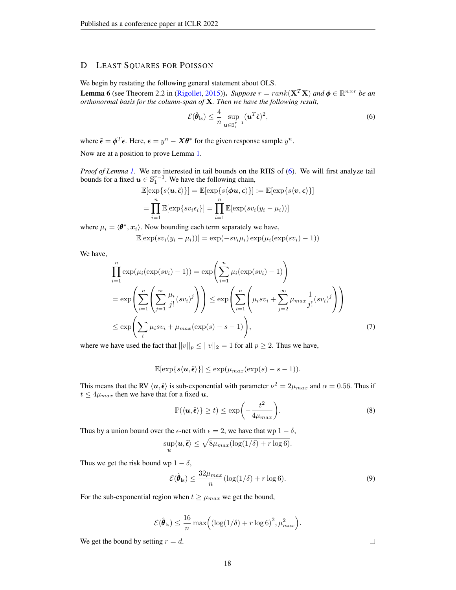# <span id="page-17-0"></span>D LEAST SQUARES FOR POISSON

We begin by restating the following general statement about OLS.

**Lemma 6** (see Theorem 2.2 in [\(Rigollet,](#page-11-14) [2015\)](#page-11-14)). *Suppose*  $r = rank(\mathbf{X}^T \mathbf{X})$  and  $\phi \in \mathbb{R}^{n \times r}$  *be an orthonormal basis for the column-span of* X*. Then we have the following result,*

<span id="page-17-1"></span>
$$
\mathcal{E}(\hat{\boldsymbol{\theta}}_{\text{ls}}) \leq \frac{4}{n} \sup_{\boldsymbol{u} \in \mathbb{S}_1^{r-1}} (\boldsymbol{u}^T \tilde{\boldsymbol{\epsilon}})^2,
$$
\n(6)

where  $\tilde{\epsilon} = \boldsymbol{\phi}^T \boldsymbol{\epsilon}$ . Here,  $\boldsymbol{\epsilon} = y^n - \boldsymbol{X} \boldsymbol{\theta}^*$  for the given response sample  $y^n$ .

Now are at a position to prove Lemma [1.](#page-4-3)

*Proof of Lemma [1.](#page-4-3)* We are interested in tail bounds on the RHS of [\(6\)](#page-17-1). We will first analyze tail bounds for a fixed  $u \in \mathbb{S}^{r-1}_{1}$ . We have the following chain,

$$
\mathbb{E}[\exp\{s\langle \mathbf{u}, \tilde{\boldsymbol{\epsilon}} \rangle\}] = \mathbb{E}[\exp\{s\langle \boldsymbol{\phi}\mathbf{u}, \boldsymbol{\epsilon} \rangle\}] := \mathbb{E}[\exp\{s\langle \mathbf{v}, \boldsymbol{\epsilon} \rangle\}]
$$

$$
= \prod_{i=1}^{n} \mathbb{E}[\exp\{sv_i\epsilon_i\}] = \prod_{i=1}^{n} \mathbb{E}[\exp(sv_i(y_i - \mu_i))]
$$

where  $\mu_i = \langle \theta^*, x_i \rangle$ . Now bounding each term separately we have,

$$
\mathbb{E}[\exp(sv_i(y_i - \mu_i))] = \exp(-sv_i\mu_i)\exp(\mu_i(\exp(sv_i) - 1))
$$

We have,

$$
\prod_{i=1}^{n} \exp(\mu_i(\exp(sv_i) - 1)) = \exp\left(\sum_{i=1}^{n} \mu_i(\exp(sv_i) - 1)\right)
$$
\n
$$
= \exp\left(\sum_{i=1}^{n} \left(\sum_{j=1}^{\infty} \frac{\mu_i}{j!} (sv_i)^j\right)\right) \le \exp\left(\sum_{i=1}^{n} \left(\mu_i s v_i + \sum_{j=2}^{\infty} \mu_{max} \frac{1}{j!} (sv_i)^j\right)\right)
$$
\n
$$
\le \exp\left(\sum_{i} \mu_i s v_i + \mu_{max}(\exp(s) - s - 1)\right),\tag{7}
$$

where we have used the fact that  $||v||_p \le ||v||_2 = 1$  for all  $p \ge 2$ . Thus we have,

$$
\mathbb{E}[\exp\{s\langle \mathbf{u}, \tilde{\pmb{\epsilon}}\rangle\}] \le \exp(\mu_{max}(\exp(s)-s-1)).
$$

This means that the RV  $\langle u, \tilde{\epsilon} \rangle$  is sub-exponential with parameter  $\nu^2 = 2\mu_{max}$  and  $\alpha = 0.56$ . Thus if  $t \leq 4\mu_{max}$  then we have that for a fixed  $u$ ,

$$
\mathbb{P}(\langle \boldsymbol{u}, \tilde{\boldsymbol{\epsilon}} \rangle) \ge t \le \exp\bigg(-\frac{t^2}{4\mu_{max}}\bigg). \tag{8}
$$

Thus by a union bound over the  $\epsilon$ -net with  $\epsilon = 2$ , we have that wp  $1 - \delta$ ,

$$
\sup_{\boldsymbol{u}} \langle \boldsymbol{u}, \tilde{\boldsymbol{\epsilon}} \rangle \leq \sqrt{8 \mu_{max} (\log(1/\delta) + r \log 6)}.
$$

Thus we get the risk bound wp  $1 - \delta$ ,

$$
\mathcal{E}(\hat{\theta}_{\text{ls}}) \le \frac{32\mu_{max}}{n} (\log(1/\delta) + r \log 6). \tag{9}
$$

For the sub-exponential region when  $t \geq \mu_{max}$  we get the bound,

$$
\mathcal{E}(\hat{\theta}_{\text{ls}}) \le \frac{16}{n} \max\left( (\log(1/\delta) + r \log 6)^2, \mu_{max}^2 \right).
$$

We get the bound by setting  $r = d$ .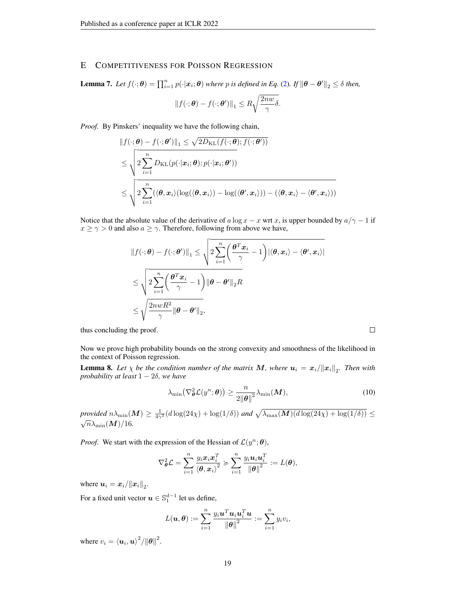### E COMPETITIVENESS FOR POISSON REGRESSION

<span id="page-18-1"></span>**Lemma 7.** Let  $f(\cdot; \theta) = \prod_{i=1}^n p(\cdot | \mathbf{x}_i; \theta)$  where p is defined in Eq. [\(2\)](#page-4-0). If  $\|\theta - \theta'\|_2 \leq \delta$  then,

$$
||f(\cdot;\boldsymbol{\theta}) - f(\cdot;\boldsymbol{\theta}')||_1 \leq R\sqrt{\frac{2nw}{\gamma}}\delta.
$$

*Proof.* By Pinskers' inequality we have the following chain,

$$
||f(\cdot; \boldsymbol{\theta}) - f(\cdot; \boldsymbol{\theta}')||_1 \leq \sqrt{2D_{\text{KL}}(f(\cdot; \boldsymbol{\theta}); f(\cdot; \boldsymbol{\theta}'))}
$$
  
\n
$$
\leq \sqrt{2\sum_{i=1}^n D_{\text{KL}}(p(\cdot|\boldsymbol{x}_i; \boldsymbol{\theta}); p(\cdot|\boldsymbol{x}_i; \boldsymbol{\theta}'))}
$$
  
\n
$$
\leq \sqrt{2\sum_{i=1}^n (\langle \boldsymbol{\theta}, \boldsymbol{x}_i \rangle (\log(\langle \boldsymbol{\theta}, \boldsymbol{x}_i \rangle) - \log(\langle \boldsymbol{\theta}', \boldsymbol{x}_i \rangle)) - (\langle \boldsymbol{\theta}, \boldsymbol{x}_i \rangle - \langle \boldsymbol{\theta}', \boldsymbol{x}_i \rangle))}
$$

Notice that the absolute value of the derivative of a log  $x - x$  wrt x, is upper bounded by  $a/\gamma - 1$  if  $x \ge \gamma > 0$  and also  $a \ge \gamma$ . Therefore, following from above we have,

$$
||f(\cdot; \boldsymbol{\theta}) - f(\cdot; \boldsymbol{\theta}')||_1 \le \sqrt{2 \sum_{i=1}^n \left(\frac{\boldsymbol{\theta}^T \boldsymbol{x}_i}{\gamma} - 1\right) |\langle \boldsymbol{\theta}, \boldsymbol{x}_i \rangle - \langle \boldsymbol{\theta}', \boldsymbol{x}_i \rangle|}
$$
  

$$
\le \sqrt{2 \sum_{i=1}^n \left(\frac{\boldsymbol{\theta}^T \boldsymbol{x}_i}{\gamma} - 1\right) ||\boldsymbol{\theta} - \boldsymbol{\theta}'||_2 R}
$$
  

$$
\le \sqrt{\frac{2nwR^2}{\gamma} ||\boldsymbol{\theta} - \boldsymbol{\theta}'||_2},
$$

thus concluding the proof.

Now we prove high probability bounds on the strong convexity and smoothness of the likelihood in the context of Poisson regression.

<span id="page-18-0"></span>**Lemma 8.** Let  $\chi$  be the condition number of the matrix M, where  $u_i = x_i / \|x_i\|_2$ . Then with *probability at least* 1 − 2δ*, we have*

$$
\lambda_{\min}(\nabla_{\boldsymbol{\theta}}^2 \mathcal{L}(y^n; \boldsymbol{\theta})) \ge \frac{n}{2\|\boldsymbol{\theta}\|^2} \lambda_{\min}(\boldsymbol{M}),
$$
\n(10)

*provided*  $n\lambda_{\min}(M) \ge \frac{1}{4\gamma^2} (d \log(24\chi) + \log(1/\delta))$  *and*  $\sqrt{\lambda_{\max}(M)(d \log(24\chi) + \log(1/\delta))} \le$  $\sqrt{n}\lambda_{\min}(\boldsymbol{M})/16$ .

*Proof.* We start with the expression of the Hessian of  $\mathcal{L}(y^n; \theta)$ ,

$$
\nabla_{\boldsymbol{\theta}}^2 \mathcal{L} = \sum_{i=1}^n \frac{y_i \boldsymbol{x}_i \boldsymbol{x}_i^T}{\langle \boldsymbol{\theta}, \boldsymbol{x}_i \rangle^2} \succcurlyeq \sum_{i=1}^n \frac{y_i \boldsymbol{u}_i \boldsymbol{u}_i^T}{\|\boldsymbol{\theta}\|^2} := L(\boldsymbol{\theta}),
$$

where  $u_i = x_i / \|x_i\|_2$ .

For a fixed unit vector  $u \in \mathbb{S}_1^{d-1}$  let us define,

$$
L(\boldsymbol{u}, \boldsymbol{\theta}) := \sum_{i=1}^n \frac{y_i \boldsymbol{u}^T \boldsymbol{u}_i \boldsymbol{u}_i^T \boldsymbol{u}}{\|\boldsymbol{\theta}\|^2} := \sum_{i=1}^n y_i v_i,
$$

where  $v_i = \langle u_i, u \rangle^2 / ||\boldsymbol{\theta}||^2$ .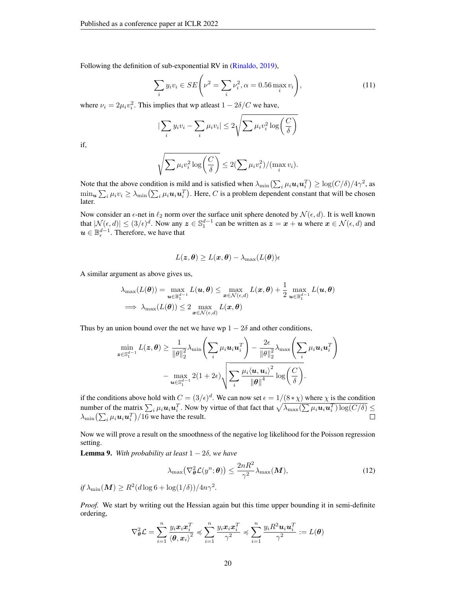Following the definition of sub-exponential RV in [\(Rinaldo,](#page-11-15) [2019\)](#page-11-15),

$$
\sum_{i} y_i v_i \in SE\left(\nu^2 = \sum_{i} \nu_i^2, \alpha = 0.56 \max_i v_i\right),\tag{11}
$$

where  $\nu_i = 2\mu_i v_i^2$ . This implies that wp at east  $1 - 2\delta/C$  we have,

$$
|\sum_{i} y_i v_i - \sum_{i} \mu_i v_i| \leq 2\sqrt{\sum \mu_i v_i^2 \log\left(\frac{C}{\delta}\right)}
$$

if,

$$
\sqrt{\sum \mu_i v_i^2 \log\left(\frac{C}{\delta}\right)} \leq 2(\sum \mu_i v_i^2) / (\max_i v_i).
$$

Note that the above condition is mild and is satisfied when  $\lambda_{\min}(\sum_i \mu_i \bm{u}_i \bm{u}_i^T) \ge \log(C/\delta)/4\gamma^2$ , as  $\min_{\bm{u}}\sum_i\mu_iv_i\ge\lambda_{\min}\bigl(\sum_i\mu_i\bm{u}_i\bm{u}_i^T\bigr).$  Here,  $C$  is a problem dependent constant that will be chosen later.

Now consider an  $\epsilon$ -net in  $\ell_2$  norm over the surface unit sphere denoted by  $\mathcal{N} (\epsilon, d)$ . It is well known that  $|\mathcal{N}(\epsilon, d)| \le (3/\epsilon)^d$ . Now any  $\mathbf{z} \in \mathbb{S}_1^{d-1}$  can be written as  $\mathbf{z} = \mathbf{x} + \mathbf{u}$  where  $\mathbf{x} \in \mathcal{N}(\epsilon, d)$  and  $u \in \mathbb{B}_{\epsilon}^{d-1}$ . Therefore, we have that

$$
L(\bm{z}, \bm{\theta}) \geq L(\bm{x}, \bm{\theta}) - \lambda_{\max}(L(\bm{\theta}))\epsilon
$$

A similar argument as above gives us,

$$
\lambda_{\max}(L(\boldsymbol{\theta})) = \max_{\boldsymbol{u} \in \mathbb{B}_1^{d-1}} L(\boldsymbol{u}, \boldsymbol{\theta}) \le \max_{\boldsymbol{x} \in \mathcal{N}(\epsilon, d)} L(\boldsymbol{x}, \boldsymbol{\theta}) + \frac{1}{2} \max_{\boldsymbol{u} \in \mathbb{B}_1^{d-1}} L(\boldsymbol{u}, \boldsymbol{\theta})
$$
  
\n
$$
\implies \lambda_{\max}(L(\boldsymbol{\theta})) \le 2 \max_{\boldsymbol{x} \in \mathcal{N}(\epsilon, d)} L(\boldsymbol{x}, \boldsymbol{\theta})
$$

Thus by an union bound over the net we have wp  $1 - 2\delta$  and other conditions,

$$
\min_{\boldsymbol{z}\in\mathbb{S}_{1}^{d-1}}L(\boldsymbol{z},\boldsymbol{\theta})\geq\frac{1}{\|\boldsymbol{\theta}\|_{2}^{2}}\lambda_{\min}\Biggl(\sum_{i}\mu_{i}\boldsymbol{u}_{i}\boldsymbol{u}_{i}^{T}\Biggr)-\frac{2\epsilon}{\|\boldsymbol{\theta}\|_{2}^{2}}\lambda_{\max}\Biggl(\sum_{i}\mu_{i}\boldsymbol{u}_{i}\boldsymbol{u}_{i}^{T}\Biggr)\\-\max_{\boldsymbol{u}\in\mathbb{S}_{1}^{d-1}}2(1+2\epsilon)\sqrt{\sum_{i}\frac{\mu_{i}\langle\boldsymbol{u},\boldsymbol{u}_{i}\rangle^{2}}{\|\boldsymbol{\theta}\|^{4}}\log\biggl(\frac{C}{\delta}\biggl)}.
$$

if the conditions above hold with  $C = (3/\epsilon)^d$ . We can now set  $\epsilon = 1/(8*\chi)$  where  $\chi$  is the condition number of the matrix  $\sum_i \mu_i \mathbf{u}_i \mathbf{u}_i^T$ . Now by virtue of that fact that  $\sqrt{\lambda_{\max}(\sum \mu_i \mathbf{u}_i \mathbf{u}_i^T) \log(C/\delta)} \le$  $\lambda_{\min}\left(\sum_i \mu_i \boldsymbol{u}_i \boldsymbol{u}_i^T\right) / 16$  we have the result.  $\Box$ 

Now we will prove a result on the smoothness of the negative log likelihood for the Poisson regression setting.

<span id="page-19-0"></span>**Lemma 9.** With probability at least  $1 - 2\delta$ , we have

$$
\lambda_{\max}(\nabla_{\boldsymbol{\theta}}^2 \mathcal{L}(y^n; \boldsymbol{\theta})) \le \frac{2nR^2}{\gamma^2} \lambda_{\max}(\boldsymbol{M}),
$$
\n(12)

 $if \lambda_{\min}(\boldsymbol{M}) \geq R^2(d \log 6 + \log(1/\delta))/4n\gamma^2$ .

*Proof.* We start by writing out the Hessian again but this time upper bounding it in semi-definite ordering,

$$
\nabla_{\theta}^{2} \mathcal{L} = \sum_{i=1}^{n} \frac{y_{i} x_{i} x_{i}^{T}}{\langle \theta, x_{i} \rangle^{2}} \preccurlyeq \sum_{i=1}^{n} \frac{y_{i} x_{i} x_{i}^{T}}{\gamma^{2}} \preccurlyeq \sum_{i=1}^{n} \frac{y_{i} R^{2} u_{i} u_{i}^{T}}{\gamma^{2}} := L(\theta)
$$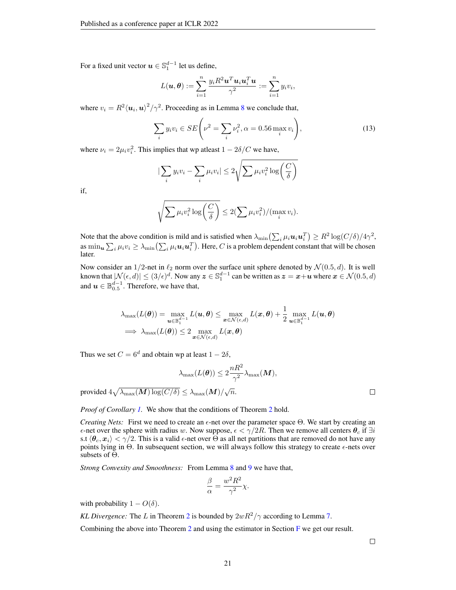For a fixed unit vector  $u \in \mathbb{S}_1^{d-1}$  let us define,

$$
L(\boldsymbol{u},\boldsymbol{\theta}) := \sum_{i=1}^n \frac{y_i R^2 \boldsymbol{u}^T \boldsymbol{u}_i \boldsymbol{u}_i^T \boldsymbol{u}}{\gamma^2} := \sum_{i=1}^n y_i v_i,
$$

where  $v_i = R^2 \langle u_i, u \rangle^2 / \gamma^2$ . Proceeding as in Lemma [8](#page-18-0) we conclude that,

$$
\sum_{i} y_i v_i \in SE\left(\nu^2 = \sum_{i} \nu_i^2, \alpha = 0.56 \max_i v_i\right),\tag{13}
$$

where  $\nu_i = 2\mu_i v_i^2$ . This implies that wp at east  $1 - 2\delta/C$  we have,

$$
|\sum_{i} y_i v_i - \sum_{i} \mu_i v_i| \leq 2\sqrt{\sum \mu_i v_i^2 \log\left(\frac{C}{\delta}\right)}
$$

if,

$$
\sqrt{\sum \mu_i v_i^2 \log\left(\frac{C}{\delta}\right)} \leq 2(\sum \mu_i v_i^2) / (\max_i v_i).
$$

Note that the above condition is mild and is satisfied when  $\lambda_{\min}\left(\sum_i \mu_i \mathbf{u}_i \mathbf{u}_i^T\right) \geq R^2 \log(C/\delta)/4\gamma^2$ , as  $\min_{\bm{u}} \sum_i \mu_i v_i \geq \lambda_{\min} (\sum_i \mu_i \bm{u}_i \bm{u}_i^T)$ . Here,  $C$  is a problem dependent constant that will be chosen later.

Now consider an 1/2-net in  $\ell_2$  norm over the surface unit sphere denoted by  $\mathcal{N}(0.5, d)$ . It is well known that  $|N(\epsilon, d)| \leq (3/\epsilon)^d$ . Now any  $\boldsymbol{z} \in \mathbb{S}_1^{d-1}$  can be written as  $\boldsymbol{z} = \boldsymbol{x} + \boldsymbol{u}$  where  $\boldsymbol{x} \in \mathcal{N}(0.5, d)$ and  $u \in \mathbb{B}_{0.5}^{d-1}$ . Therefore, we have that,

$$
\lambda_{\max}(L(\boldsymbol{\theta})) = \max_{\boldsymbol{u} \in \mathbb{B}_1^{d-1}} L(\boldsymbol{u}, \boldsymbol{\theta}) \le \max_{\boldsymbol{x} \in \mathcal{N}(\epsilon, d)} L(\boldsymbol{x}, \boldsymbol{\theta}) + \frac{1}{2} \max_{\boldsymbol{u} \in \mathbb{B}_1^{d-1}} L(\boldsymbol{u}, \boldsymbol{\theta})
$$
  
\n
$$
\implies \lambda_{\max}(L(\boldsymbol{\theta})) \le 2 \max_{\boldsymbol{x} \in \mathcal{N}(\epsilon, d)} L(\boldsymbol{x}, \boldsymbol{\theta})
$$

Thus we set  $C = 6^d$  and obtain wp at least  $1 - 2\delta$ ,

$$
\lambda_{\max}(L(\boldsymbol{\theta})) \leq 2 \frac{nR^2}{\gamma^2} \lambda_{\max}(\boldsymbol{M}),
$$

provided  $4\sqrt{\lambda_{\max}(M)\log(C/\delta)} \leq \lambda_{\max}(M)/\sqrt{n}$ .

*Proof of Corollary [1.](#page-5-1)* We show that the conditions of Theorem [2](#page-3-0) hold.

*Creating Nets:* First we need to create an  $\epsilon$ -net over the parameter space  $\Theta$ . We start by creating an  $\epsilon$ -net over the sphere with radius w. Now suppose,  $\epsilon < \gamma/2R$ . Then we remove all centers  $\theta_c$  if  $\exists i$ s.t  $\langle \theta_c, x_i \rangle < \gamma/2$ . This is a valid  $\epsilon$ -net over  $\Theta$  as all net partitions that are removed do not have any points lying in  $\Theta$ . In subsequent section, we will always follow this strategy to create  $\epsilon$ -nets over subsets of Θ.

*Strong Convexity and Smoothness:* From Lemma [8](#page-18-0) and [9](#page-19-0) we have that,

$$
\frac{\beta}{\alpha} = \frac{w^2 R^2}{\gamma^2} \chi.
$$

with probability  $1 - O(\delta)$ .

*KL Divergence:* The L in Theorem [2](#page-3-0) is bounded by  $2wR^2/\gamma$  according to Lemma [7.](#page-18-1)

Combining the above into Theorem [2](#page-3-0) and using the estimator in Section [F](#page-21-1) we get our result.

 $\Box$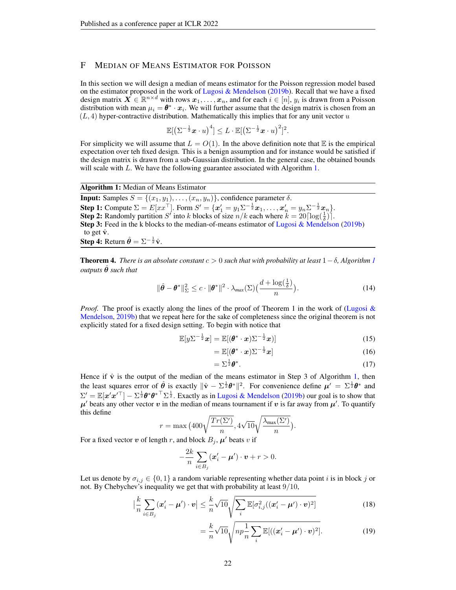# <span id="page-21-1"></span>F MEDIAN OF MEANS ESTIMATOR FOR POISSON

In this section we will design a median of means estimator for the Poisson regression model based on the estimator proposed in the work of [Lugosi & Mendelson](#page-10-17) [\(2019b\)](#page-10-17). Recall that we have a fixed design matrix  $\bm{X}\in\mathbb{R}^{n\times d}$  with rows  $\bm{x}_1,\ldots,\bm{x}_n,$  and for each  $i\in[n],$   $y_i$  is drawn from a Poisson distribution with mean  $\mu_i = \theta^* \cdot x_i$ . We will further assume that the design matrix is chosen from an  $(L, 4)$  hyper-contractive distribution. Mathematically this implies that for any unit vector u

$$
\mathbb{E}[\left(\Sigma^{-\frac{1}{2}}\boldsymbol{x}\cdot u\right)^4] \leq L \cdot \mathbb{E}[\left(\Sigma^{-\frac{1}{2}}\boldsymbol{x}\cdot u\right)^2]^2.
$$

For simplicity we will assume that  $L = O(1)$ . In the above definition note that E is the empirical expectation over teh fixed design. This is a benign assumption and for instance would be satisfied if the design matrix is drawn from a sub-Gaussian distribution. In the general case, the obtained bounds will scale with L. We have the following guarantee associated with Algorithm [1.](#page-21-2)

#### Algorithm 1: Median of Means Estimator

**Input:** Samples  $S = \{(x_1, y_1), \ldots, (x_n, y_n)\}\)$ , confidence parameter  $\delta$ . **Step 1:** Compute  $\Sigma = E[xx^\top]$ . Form  $S' = \{x'_1 = y_1 \Sigma^{-\frac{1}{2}} x_1, \dots, x'_n = y_n \Sigma^{-\frac{1}{2}} x_n\}$ . **Step 2:** Randomly partition S' into k blocks of size  $n/k$  each where  $k = 20 \left[ \log(\frac{1}{\delta}) \right]$ . Step 3: Feed in the k blocks to the median-of-means estimator of [Lugosi & Mendelson](#page-10-17) [\(2019b\)](#page-10-17) to get  $\hat{\mathbf{v}}$ . **Step 4:** Return  $\hat{\theta} = \Sigma^{-\frac{1}{2}} \hat{\mathbf{v}}$ .

<span id="page-21-0"></span>**Theorem 4.** *There is an absolute constant*  $c > 0$  *such that with probability at least*  $1 - \delta$  $1 - \delta$ *, Algorithm 1*  $outputs$   $\hat{\theta}$  *such that* 

<span id="page-21-2"></span>
$$
\|\hat{\boldsymbol{\theta}} - \boldsymbol{\theta}^*\|_{\Sigma}^2 \le c \cdot \|\boldsymbol{\theta}^*\|^2 \cdot \lambda_{\text{max}}(\Sigma) \big(\frac{d + \log(\frac{1}{\delta})}{n}\big). \tag{14}
$$

*Proof.* The proof is exactly along the lines of the proof of Theorem 1 in the work of [\(Lugosi &](#page-10-17) [Mendelson,](#page-10-17) [2019b\)](#page-10-17) that we repeat here for the sake of completeness since the original theorem is not explicitly stated for a fixed design setting. To begin with notice that

$$
\mathbb{E}[y\Sigma^{-\frac{1}{2}}x] = \mathbb{E}[(\boldsymbol{\theta}^* \cdot x)\Sigma^{-\frac{1}{2}}x)] \tag{15}
$$

$$
= \mathbb{E}[(\boldsymbol{\theta}^* \cdot \boldsymbol{x}) \Sigma^{-\frac{1}{2}} \boldsymbol{x}] \tag{16}
$$

$$
=\Sigma^{\frac{1}{2}}\boldsymbol{\theta}^*.\tag{17}
$$

Hence if  $\hat{v}$  is the output of the median of the means estimator in Step 3 of Algorithm [1,](#page-21-2) then the least squares error of  $\hat{\theta}$  is exactly  $\|\hat{\mathbf{v}} - \Sigma^{\frac{1}{2}} \theta^*\|^2$ . For convenience define  $\mu' = \Sigma^{\frac{1}{2}} \theta^*$  and  $\Sigma' = \mathbb{E}[\mathbf{x}'\mathbf{x}'^\top] - \Sigma^{\frac{1}{2}} \mathbf{\theta}^* {\mathbf{\theta}^*}^\top \Sigma^{\frac{1}{2}}$ . Exactly as in [Lugosi & Mendelson](#page-10-17) [\(2019b\)](#page-10-17) our goal is to show that  $\mu'$  beats any other vector  $v$  in the median of means tournament if  $v$  is far away from  $\mu'$ . To quantify this define

$$
r = \max (400\sqrt{\frac{Tr(\Sigma')}{n}}, 4\sqrt{10}\sqrt{\frac{\lambda_{\max}(\Sigma')}{n}}).
$$

For a fixed vector v of length r, and block  $B_j$ ,  $\mu'$  beats v if

$$
-\frac{2k}{n}\sum_{i\in B_j}(\boldsymbol{x}'_i-\boldsymbol{\mu}')\cdot\boldsymbol{v}+r>0.
$$

Let us denote by  $\sigma_{i,j} \in \{0,1\}$  a random variable representing whether data point *i* is in block *j* or not. By Chebychev's inequality we get that with probability at least 9/10,

$$
\left|\frac{k}{n}\sum_{i\in B_j}(\mathbf{x}'_i-\boldsymbol{\mu}')\cdot\mathbf{v}\right|\leq \frac{k}{n}\sqrt{10}\sqrt{\sum_i \mathbb{E}[\sigma_{i,j}^2((\mathbf{x}'_i-\boldsymbol{\mu}')\cdot\mathbf{v})^2]}
$$
(18)

$$
= \frac{k}{n}\sqrt{10}\sqrt{np\frac{1}{n}\sum_{i}\mathbb{E}[(\boldsymbol{x}'_i-\boldsymbol{\mu}')\cdot\boldsymbol{v})^2]}.
$$
 (19)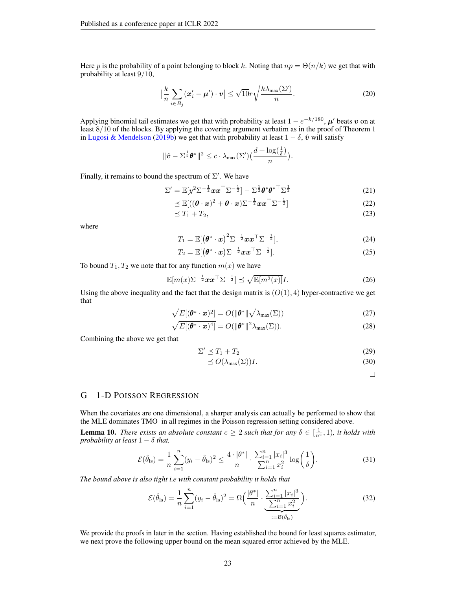Here p is the probability of a point belonging to block k. Noting that  $np = \Theta(n/k)$  we get that with probability at least 9/10,

$$
\left|\frac{k}{n}\sum_{i\in B_j}(\mathbf{x}'_i-\boldsymbol{\mu}')\cdot\mathbf{v}\right|\leq \sqrt{10}r\sqrt{\frac{k\lambda_{\max}(\Sigma')}{n}}.\tag{20}
$$

Applying binomial tail estimates we get that with probability at least  $1 - e^{-k/180}$ ,  $\mu'$  beats v on at least 8/10 of the blocks. By applying the covering argument verbatim as in the proof of Theorem 1 in [Lugosi & Mendelson](#page-10-17) [\(2019b\)](#page-10-17) we get that with probability at least  $1 - \delta$ ,  $\hat{v}$  will satisfy

$$
\|\hat{\mathbf{v}}-\Sigma^{\frac{1}{2}}\boldsymbol{\theta}^*\|^2 \leq c \cdot \lambda_{\max}(\Sigma')\big(\frac{d+\log(\frac{1}{\delta})}{n}\big).
$$

Finally, it remains to bound the spectrum of  $\Sigma'$ . We have

$$
\Sigma' = \mathbb{E}[y^2 \Sigma^{-\frac{1}{2}} x x^\top \Sigma^{-\frac{1}{2}}] - \Sigma^{\frac{1}{2}} \theta^* \theta^{* \top} \Sigma^{\frac{1}{2}}
$$
(21)

$$
\preceq \mathbb{E}[((\boldsymbol{\theta} \cdot \boldsymbol{x})^2 + \boldsymbol{\theta} \cdot \boldsymbol{x}) \Sigma^{-\frac{1}{2}} \boldsymbol{x} \boldsymbol{x}^\top \Sigma^{-\frac{1}{2}}] \tag{22}
$$

$$
\preceq T_1 + T_2,\tag{23}
$$

where

$$
T_1 = \mathbb{E}[(\boldsymbol{\theta}^* \cdot \boldsymbol{x})^2 \Sigma^{-\frac{1}{2}} \boldsymbol{x} \boldsymbol{x}^\top \Sigma^{-\frac{1}{2}}], \qquad (24)
$$

$$
T_2 = \mathbb{E}[(\boldsymbol{\theta}^* \cdot \boldsymbol{x}) \Sigma^{-\frac{1}{2}} \boldsymbol{x} \boldsymbol{x}^\top \Sigma^{-\frac{1}{2}}]. \tag{25}
$$

To bound  $T_1, T_2$  we note that for any function  $m(x)$  we have

$$
\mathbb{E}[m(x)\Sigma^{-\frac{1}{2}}xx^{\top}\Sigma^{-\frac{1}{2}}] \preceq \sqrt{\mathbb{E}[m^2(x)]}I.
$$
 (26)

Using the above inequality and the fact that the design matrix is  $(O(1), 4)$  hyper-contractive we get that

$$
\sqrt{E[(\boldsymbol{\theta}^* \cdot \boldsymbol{x})^2]} = O(||\boldsymbol{\theta}^*|| \sqrt{\lambda_{\max}(\Sigma)})
$$
\n(27)

$$
\sqrt{E[(\boldsymbol{\theta}^* \cdot \boldsymbol{x})^4]} = O(||\boldsymbol{\theta}^*||^2 \lambda_{\max}(\Sigma)).
$$
\n(28)

Combining the above we get that

$$
\Sigma' \preceq T_1 + T_2 \tag{29}
$$

$$
\leq O(\lambda_{\max}(\Sigma))I. \tag{30}
$$

<span id="page-22-1"></span> $\Box$ 

### <span id="page-22-0"></span>G 1-D POISSON REGRESSION

When the covariates are one dimensional, a sharper analysis can actually be performed to show that the MLE dominates TMO in all regimes in the Poisson regression setting considered above.

<span id="page-22-2"></span>**Lemma 10.** *There exists an absolute constant*  $c \geq 2$  *such that for any*  $\delta \in [\frac{1}{n^c}, 1)$ *, it holds with probability at least*  $1 - \delta$  *that,* 

$$
\mathcal{E}(\hat{\theta}_{\text{ls}}) = \frac{1}{n} \sum_{i=1}^{n} (y_i - \hat{\theta}_{\text{ls}})^2 \le \frac{4 \cdot |\theta^*|}{n} \cdot \frac{\sum_{i=1}^{n} |x_i|^3}{\sum_{i=1}^{n} x_i^2} \log\left(\frac{1}{\delta}\right).
$$
 (31)

*The bound above is also tight i.e with constant probability it holds that*

$$
\mathcal{E}(\hat{\theta}_{\text{ls}}) = \frac{1}{n} \sum_{i=1}^{n} (y_i - \hat{\theta}_{\text{ls}})^2 = \Omega \left( \frac{|\theta^*|}{n} \cdot \underbrace{\sum_{i=1}^{n} |x_i|^3}_{:= \mathcal{B}(\hat{\theta}_{\text{ls}})} \right).
$$
 (32)

<span id="page-22-3"></span>We provide the proofs in later in the section. Having established the bound for least squares estimator, we next prove the following upper bound on the mean squared error achieved by the MLE.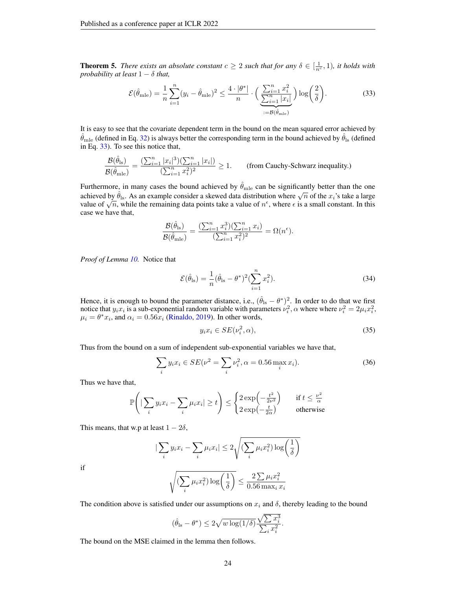**Theorem 5.** *There exists an absolute constant*  $c \geq 2$  *such that for any*  $\delta \in [\frac{1}{n^c}, 1)$ *, it holds with probability at least*  $1 - \delta$  *that,* 

<span id="page-23-0"></span>
$$
\mathcal{E}(\hat{\theta}_{\text{mle}}) = \frac{1}{n} \sum_{i=1}^{n} (y_i - \hat{\theta}_{\text{mle}})^2 \le \frac{4 \cdot |\theta^*|}{n} \cdot \left( \frac{\sum_{i=1}^{n} x_i^2}{\sum_{i=1}^{n} |x_i|} \right) \log \left( \frac{2}{\delta} \right).
$$
 (33)

It is easy to see that the covariate dependent term in the bound on the mean squared error achieved by  $\hat{\theta}_{\text{mle}}$  (defined in Eq. [32\)](#page-22-1) is always better the corresponding term in the bound achieved by  $\hat{\theta}_{\text{ls}}$  (defined in Eq. [33\)](#page-23-0). To see this notice that,

$$
\frac{\mathcal{B}(\hat{\theta}_{\text{ls}})}{\mathcal{B}(\hat{\theta}_{\text{mle}})} = \frac{(\sum_{i=1}^{n} |x_i|^3)(\sum_{i=1}^{n} |x_i|)}{(\sum_{i=1}^{n} x_i^2)^2} \ge 1.
$$
 (from Cauchy-Schwarz inequality.)

Furthermore, in many cases the bound achieved by  $\hat{\theta}_{\text{mle}}$  can be significantly better than the one achieved by  $\hat{\theta}_{\text{ls}}$ . As an example consider a skewed data distribution where  $\sqrt{n}$  of the  $x_i$ 's take a large achieved by  $v_{\text{ls}}$ . As an example consider a skewed data distribution where  $\sqrt{n}$  of the  $x_i$  s take a large value of  $\sqrt{n}$ , while the remaining data points take a value of  $n^{\epsilon}$ , where  $\epsilon$  is a small constant. In case we have that,

$$
\frac{\mathcal{B}(\hat{\theta}_{\text{ls}})}{\mathcal{B}(\hat{\theta}_{\text{mle}})} = \frac{(\sum_{i=1}^n x_i^3)(\sum_{i=1}^n x_i)}{(\sum_{i=1}^n x_i^2)^2} = \Omega(n^{\epsilon}).
$$

*Proof of Lemma [10.](#page-22-2)* Notice that

$$
\mathcal{E}(\hat{\theta}_{\text{ls}}) = \frac{1}{n} (\hat{\theta}_{\text{ls}} - \theta^*)^2 (\sum_{i=1}^n x_i^2).
$$
 (34)

Hence, it is enough to bound the parameter distance, i.e.,  $(\hat{\theta}_{ls} - \theta^*)^2$ . In order to do that we first notice that  $y_i x_i$  is a sub-exponential random variable with parameters  $\nu_i^2$ ,  $\alpha$  where where  $\nu_i^2 = 2\mu_i x_i^2$ ,  $\mu_i = \theta^* x_i$ , and  $\alpha_i = 0.56x_i$  [\(Rinaldo,](#page-11-15) [2019\)](#page-11-15). In other words,

$$
y_i x_i \in SE(\nu_i^2, \alpha),\tag{35}
$$

Thus from the bound on a sum of independent sub-exponential variables we have that,

$$
\sum_{i} y_i x_i \in SE(\nu^2 = \sum_{i} \nu_i^2, \alpha = 0.56 \max_i x_i).
$$
 (36)

Thus we have that,

$$
\mathbb{P}\left(|\sum_{i} y_i x_i - \sum_{i} \mu_i x_i| \ge t\right) \le \begin{cases} 2\exp\left(-\frac{t^2}{2\nu^2}\right) & \text{if } t \le \frac{\nu^2}{\alpha} \\ 2\exp\left(-\frac{t}{2\alpha}\right) & \text{otherwise} \end{cases}
$$

This means, that w.p at least  $1 - 2\delta$ ,

$$
|\sum_{i} y_i x_i - \sum_{i} \mu_i x_i| \leq 2\sqrt{\left(\sum_{i} \mu_i x_i^2\right) \log\left(\frac{1}{\delta}\right)}
$$

if

$$
\sqrt{\left(\sum_i \mu_i x_i^2\right) \log\left(\frac{1}{\delta}\right)} \le \frac{2 \sum \mu_i x_i^2}{0.56 \max_i x_i}
$$

The condition above is satisfied under our assumptions on  $x_i$  and  $\delta$ , thereby leading to the bound

$$
(\hat{\theta}_{\text{ls}} - \theta^*) \le 2\sqrt{w \log(1/\delta)} \frac{\sqrt{\sum x_i^3}}{\sum_i x_i^2}.
$$

The bound on the MSE claimed in the lemma then follows.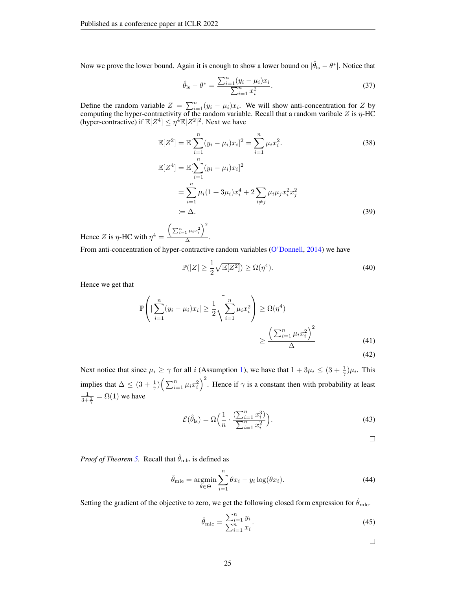Now we prove the lower bound. Again it is enough to show a lower bound on  $|\hat{\theta}_{ls} - \theta^*|$ . Notice that

$$
\hat{\theta}_{\text{ls}} - \theta^* = \frac{\sum_{i=1}^n (y_i - \mu_i)x_i}{\sum_{i=1}^n x_i^2}.
$$
\n(37)

Define the random variable  $Z = \sum_{i=1}^{n} (y_i - \mu_i)x_i$ . We will show anti-concentration for Z by computing the hyper-contractivity of the random variable. Recall that a random varibale Z is  $\eta$ -HC (hyper-contractive) if  $\mathbb{E}[Z^4] \leq \eta^4 \mathbb{E}[Z^2]^2$ . Next we have

$$
\mathbb{E}[Z^2] = \mathbb{E}[\sum_{i=1}^n (y_i - \mu_i)x_i]^2 = \sum_{i=1}^n \mu_i x_i^2.
$$
\n
$$
\mathbb{E}[Z^4] = \mathbb{E}[\sum_{i=1}^n (y_i - \mu_i)x_i]^2
$$
\n
$$
= \sum_{i=1}^n \mu_i (1 + 3\mu_i)x_i^4 + 2\sum_{i \neq j} \mu_i \mu_j x_i^2 x_j^2
$$
\n
$$
:= \Delta.
$$
\n(39)

Hence Z is  $\eta$ -HC with  $\eta^4$  =  $\left(\sum_{i=1}^n \mu_i x_i^2\right)^2$  $\frac{1}{\Delta}$ .

From anti-concentration of hyper-contractive random variables [\(O'Donnell,](#page-11-16) [2014\)](#page-11-16) we have

$$
\mathbb{P}(|Z| \ge \frac{1}{2}\sqrt{\mathbb{E}[Z^2]}) \ge \Omega(\eta^4). \tag{40}
$$

Hence we get that

$$
\mathbb{P}\left(|\sum_{i=1}^{n}(y_i - \mu_i)x_i| \ge \frac{1}{2}\sqrt{\sum_{i=1}^{n}\mu_i x_i^2}\right) \ge \Omega(\eta^4)
$$

$$
\ge \frac{\left(\sum_{i=1}^{n}\mu_i x_i^2\right)^2}{\Delta} \tag{41}
$$

(42)

Next notice that since  $\mu_i \ge \gamma$  for all i (Assumption [1\)](#page-4-2), we have that  $1 + 3\mu_i \le (3 + \frac{1}{\gamma})\mu_i$ . This implies that  $\Delta \leq (3 + \frac{1}{\gamma}) \left( \sum_{i=1}^n \mu_i x_i^2 \right)^2$ . Hence if  $\gamma$  is a constant then with probability at least  $\frac{1}{3+\frac{1}{\gamma}} = \Omega(1)$  we have

$$
\mathcal{E}(\hat{\theta}_{\text{ls}}) = \Omega\Big(\frac{1}{n} \cdot \frac{\left(\sum_{i=1}^{n} x_i^3\right)}{\sum_{i=1}^{n} x_i^2}\Big). \tag{43}
$$

 $\Box$ 

*Proof of Theorem [5.](#page-22-3)* Recall that  $\hat{\theta}_{mle}$  is defined as

$$
\hat{\theta}_{\text{mle}} = \underset{\theta \in \Theta}{\text{argmin}} \sum_{i=1}^{n} \theta x_i - y_i \log(\theta x_i). \tag{44}
$$

Setting the gradient of the objective to zero, we get the following closed form expression for  $\theta_{\rm mle}$ .

$$
\hat{\theta}_{\text{mle}} = \frac{\sum_{i=1}^{n} y_i}{\sum_{i=1}^{n} x_i}.
$$
\n(45)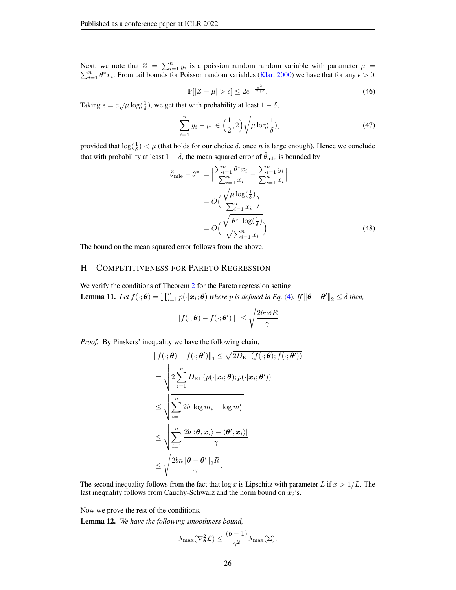Next, we note that  $Z = \sum_{i=1}^{n} y_i$ P ext, we note that  $Z = \sum_{i=1}^{n} y_i$  is a poission random random variable with parameter  $\mu = \sum_{i=1}^{n} \theta^* x_i$ . From tail bounds for Poisson random variables [\(Klar,](#page-10-18) [2000\)](#page-10-18) we have that for any  $\epsilon > 0$ ,

$$
\mathbb{P}[|Z - \mu| > \epsilon] \le 2e^{-\frac{\epsilon^2}{\mu + \epsilon}}.\tag{46}
$$

Taking  $\epsilon = c\sqrt{\mu} \log(\frac{1}{\delta})$ , we get that with probability at least  $1 - \delta$ ,

$$
|\sum_{i=1}^{n} y_i - \mu| \in \left(\frac{1}{2}, 2\right) \sqrt{\mu \log(\frac{1}{\delta})},\tag{47}
$$

provided that  $\log(\frac{1}{\delta}) < \mu$  (that holds for our choice  $\delta$ , once *n* is large enough). Hence we conclude that with probability at least  $1 - \delta$ , the mean squared error of  $\hat{\theta}_{\text{mle}}$  is bounded by

$$
|\hat{\theta}_{\text{mle}} - \theta^*| = \left| \frac{\sum_{i=1}^n \theta^* x_i}{\sum_{i=1}^n x_i} - \frac{\sum_{i=1}^n y_i}{\sum_{i=1}^n x_i} \right|
$$
  
=  $O\left(\frac{\sqrt{\mu \log(\frac{1}{\delta})}}{\sum_{i=1}^n x_i}\right)$   
=  $O\left(\frac{\sqrt{|\theta^*| \log(\frac{1}{\delta})}}{\sqrt{\sum_{i=1}^n x_i}}\right).$  (48)

The bound on the mean squared error follows from the above.

### <span id="page-25-0"></span>H COMPETITIVENESS FOR PARETO REGRESSION

<span id="page-25-2"></span>We verify the conditions of Theorem [2](#page-3-0) for the Pareto regression setting. **Lemma 11.** Let  $f(\cdot; \theta) = \prod_{i=1}^n p(\cdot | \boldsymbol{x}_i; \theta)$  where p is defined in Eq. [\(4\)](#page-5-0). If  $\|\theta - \theta'\|_2 \leq \delta$  then,

$$
\|f(\cdot;\boldsymbol{\theta}) - f(\cdot;\boldsymbol{\theta}')\|_1 \le \sqrt{\frac{2bn\delta R}{\gamma}}
$$

*Proof.* By Pinskers' inequality we have the following chain,

$$
||f(\cdot; \boldsymbol{\theta}) - f(\cdot; \boldsymbol{\theta}')||_1 \le \sqrt{2D_{\text{KL}}(f(\cdot; \boldsymbol{\theta}); f(\cdot; \boldsymbol{\theta}'))}
$$
  
\n
$$
= \sqrt{2\sum_{i=1}^n D_{\text{KL}}(p(\cdot|x_i; \boldsymbol{\theta}); p(\cdot|x_i; \boldsymbol{\theta}'))}
$$
  
\n
$$
\le \sqrt{\sum_{i=1}^n 2b |\log m_i - \log m'_i|}
$$
  
\n
$$
\le \sqrt{\sum_{i=1}^n \frac{2b |\langle \boldsymbol{\theta}, x_i \rangle - \langle \boldsymbol{\theta}', x_i \rangle|}{\gamma}}
$$
  
\n
$$
\le \sqrt{\frac{2bn \|\boldsymbol{\theta} - \boldsymbol{\theta}'\|_2 R}{\gamma}}.
$$

The second inequality follows from the fact that  $\log x$  is Lipschitz with parameter L if  $x > 1/L$ . The last inequality follows from Cauchy-Schwarz and the norm bound on  $x_i$ 's.  $\Box$ 

Now we prove the rest of the conditions.

<span id="page-25-1"></span>Lemma 12. *We have the following smoothness bound,*

$$
\lambda_{\max}(\nabla_{\boldsymbol{\theta}}^2 \mathcal{L}) \le \frac{(b-1)}{\gamma^2} \lambda_{\max}(\Sigma).
$$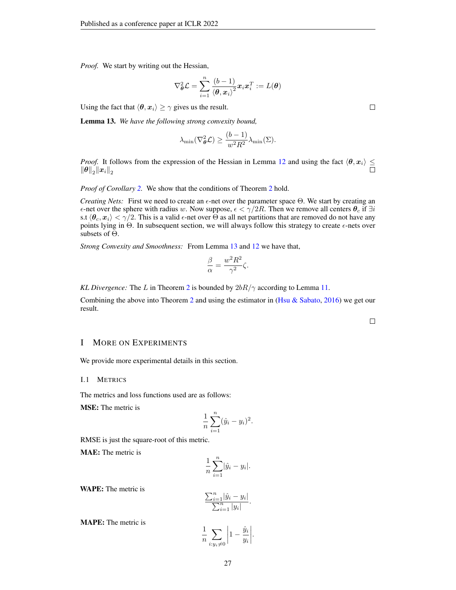*Proof.* We start by writing out the Hessian,

$$
\nabla_{\boldsymbol{\theta}}^2 \mathcal{L} = \sum_{i=1}^n \frac{\left(b-1\right)}{\left\langle\boldsymbol{\theta}, \boldsymbol{x}_i\right\rangle^2} \boldsymbol{x}_i \boldsymbol{x}_i^T := L(\boldsymbol{\theta})
$$

Using the fact that  $\langle \theta, x_i \rangle \ge \gamma$  gives us the result.

<span id="page-26-1"></span>Lemma 13. *We have the following strong convexity bound,*

$$
\lambda_{\min}(\nabla_{\theta}^2 \mathcal{L}) \ge \frac{(b-1)}{w^2 R^2} \lambda_{\min}(\Sigma).
$$

*Proof.* It follows from the expression of the Hessian in Lemma [12](#page-25-1) and using the fact  $\langle \theta, x_i \rangle \leq$  $\left\Vert \boldsymbol{\theta }\right\Vert _{2}\!\left\Vert \boldsymbol{x}_{i}\right\Vert _{2}$ 

*Proof of Corollary* [2.](#page-5-2) We show that the conditions of Theorem [2](#page-3-0) hold.

*Creating Nets:* First we need to create an  $\epsilon$ -net over the parameter space  $\Theta$ . We start by creating an  $\epsilon$ -net over the sphere with radius w. Now suppose,  $\epsilon < \gamma/2R$ . Then we remove all centers  $\theta_c$  if  $\exists i$ s.t  $\langle \theta_c, x_i \rangle < \gamma/2$ . This is a valid  $\epsilon$ -net over  $\Theta$  as all net partitions that are removed do not have any points lying in  $\Theta$ . In subsequent section, we will always follow this strategy to create  $\epsilon$ -nets over subsets of Θ.

*Strong Convexity and Smoothness:* From Lemma [13](#page-26-1) and [12](#page-25-1) we have that,

$$
\frac{\beta}{\alpha} = \frac{w^2 R^2}{\gamma^2} \zeta.
$$

*KL Divergence:* The L in Theorem [2](#page-3-0) is bounded by  $2bR/\gamma$  according to Lemma [11.](#page-25-2)

Combining the above into Theorem [2](#page-3-0) and using the estimator in [\(Hsu & Sabato,](#page-10-4) [2016\)](#page-10-4) we get our result.

### <span id="page-26-0"></span>I MORE ON EXPERIMENTS

We provide more experimental details in this section.

#### I.1 METRICS

The metrics and loss functions used are as follows:

MSE: The metric is

$$
\frac{1}{n}\sum_{i=1}^{n}(\hat{y}_i - y_i)^2.
$$

RMSE is just the square-root of this metric.

MAE: The metric is

$$
\frac{1}{n}\sum_{i=1}^n|\hat{y}_i - y_i|.
$$

WAPE: The metric is

$$
\frac{\sum_{i=1}^{n} |\hat{y}_i - y_i|}{\sum_{i=1}^{n} |y_i|}.
$$

MAPE: The metric is

$$
\frac{1}{n} \sum_{i:y_i\neq 0} \left| 1 - \frac{\hat{y}_i}{y_i} \right|.
$$

 $\Box$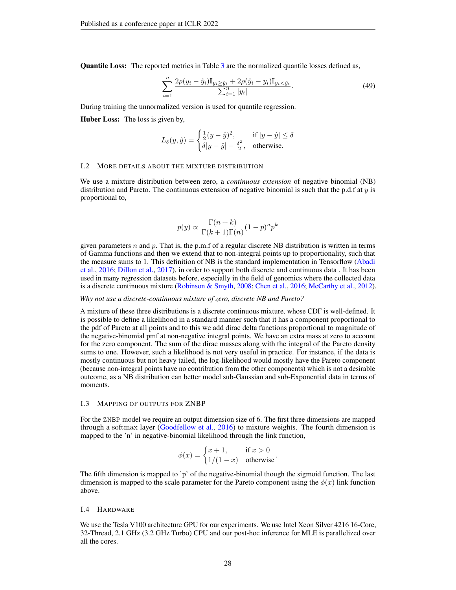Quantile Loss: The reported metrics in Table [3](#page-8-0) are the normalized quantile losses defined as,

$$
\sum_{i=1}^{n} \frac{2\rho(y_i - \hat{y}_i) \mathbb{I}_{y_i \ge \hat{y}_i} + 2\rho(\hat{y}_i - y_i) \mathbb{I}_{y_i < \hat{y}_i}}{\sum_{i=1}^{n} |y_i|}.
$$
\n(49)

During training the unnormalized version is used for quantile regression.

Huber Loss: The loss is given by,

$$
L_{\delta}(y, \hat{y}) = \begin{cases} \frac{1}{2}(y - \hat{y})^2, & \text{if } |y - \hat{y}| \le \delta \\ \delta |y - \hat{y}| - \frac{\delta^2}{2}, & \text{otherwise.} \end{cases}
$$

#### <span id="page-27-0"></span>I.2 MORE DETAILS ABOUT THE MIXTURE DISTRIBUTION

We use a mixture distribution between zero, a *continuous extension* of negative binomial (NB) distribution and Pareto. The continuous extension of negative binomial is such that the p.d.f at  $y$  is proportional to,

$$
p(y) \propto \frac{\Gamma(n+k)}{\Gamma(k+1)\Gamma(n)} (1-p)^n p^k
$$

given parameters n and p. That is, the p.m.f of a regular discrete NB distribution is written in terms of Gamma functions and then we extend that to non-integral points up to proportionality, such that the measure sums to 1. This definition of NB is the standard implementation in Tensorflow [\(Abadi](#page-9-16) [et al.,](#page-9-16) [2016;](#page-9-16) [Dillon et al.,](#page-9-13) [2017\)](#page-9-13), in order to support both discrete and continuous data . It has been used in many regression datasets before, especially in the field of genomics where the collected data is a discrete continuous mixture [\(Robinson & Smyth,](#page-11-17) [2008;](#page-11-17) [Chen et al.,](#page-9-17) [2016;](#page-9-17) [McCarthy et al.,](#page-11-18) [2012\)](#page-11-18).

#### *Why not use a discrete-continuous mixture of zero, discrete NB and Pareto?*

A mixture of these three distributions is a discrete continuous mixture, whose CDF is well-defined. It is possible to define a likelihood in a standard manner such that it has a component proportional to the pdf of Pareto at all points and to this we add dirac delta functions proportional to magnitude of the negative-binomial pmf at non-negative integral points. We have an extra mass at zero to account for the zero component. The sum of the dirac masses along with the integral of the Pareto density sums to one. However, such a likelihood is not very useful in practice. For instance, if the data is mostly continuous but not heavy tailed, the log-likelihood would mostly have the Pareto component (because non-integral points have no contribution from the other components) which is not a desirable outcome, as a NB distribution can better model sub-Gaussian and sub-Exponential data in terms of moments.

#### <span id="page-27-1"></span>I.3 MAPPING OF OUTPUTS FOR ZNBP

For the ZNBP model we require an output dimension size of 6. The first three dimensions are mapped through a softmax layer [\(Goodfellow et al.,](#page-10-19) [2016\)](#page-10-19) to mixture weights. The fourth dimension is mapped to the 'n' in negative-binomial likelihood through the link function,

$$
\phi(x) = \begin{cases} x+1, & \text{if } x > 0 \\ 1/(1-x) & \text{otherwise} \end{cases}
$$

The fifth dimension is mapped to 'p' of the negative-binomial though the sigmoid function. The last dimension is mapped to the scale parameter for the Pareto component using the  $\phi(x)$  link function above.

#### I.4 HARDWARE

We use the Tesla V100 architecture GPU for our experiments. We use Intel Xeon Silver 4216 16-Core, 32-Thread, 2.1 GHz (3.2 GHz Turbo) CPU and our post-hoc inference for MLE is parallelized over all the cores.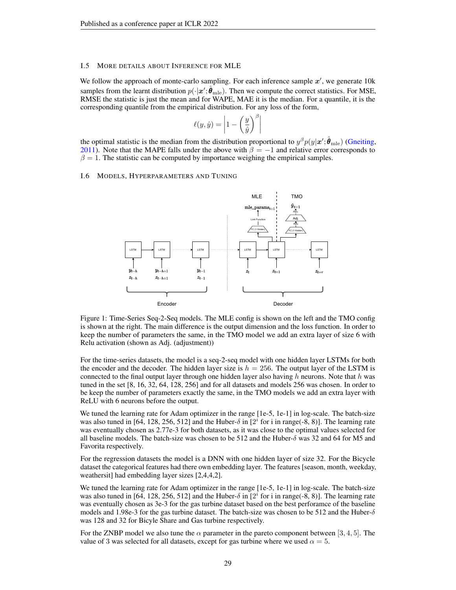#### <span id="page-28-0"></span>I.5 MORE DETAILS ABOUT INFERENCE FOR MLE

We follow the approach of monte-carlo sampling. For each inference sample  $x'$ , we generate 10 $k$ samples from the learnt distribution  $p(\cdot|\mathbf{x}'; \hat{\theta}_{\text{mle}})$ . Then we compute the correct statistics. For MSE, RMSE the statistic is just the mean and for WAPE, MAE it is the median. For a quantile, it is the corresponding quantile from the empirical distribution. For any loss of the form,

$$
\ell(y, \hat{y}) = \left| 1 - \left(\frac{y}{\hat{y}}\right)^{\beta} \right|
$$

the optimal statistic is the median from the distribution proportional to  $y^{\beta}p(y|\bm{x}';\hat{\bm{\theta}}_{\text{mle}})$  [\(Gneiting,](#page-10-6) [2011\)](#page-10-6). Note that the MAPE falls under the above with  $\beta = -1$  and relative error corresponds to  $\beta = 1$ . The statistic can be computed by importance weighing the empirical samples.

#### <span id="page-28-1"></span>I.6 MODELS, HYPERPARAMETERS AND TUNING



Figure 1: Time-Series Seq-2-Seq models. The MLE config is shown on the left and the TMO config is shown at the right. The main difference is the output dimension and the loss function. In order to keep the number of parameters the same, in the TMO model we add an extra layer of size 6 with Relu activation (shown as Adj. (adjustment))

For the time-series datasets, the model is a seq-2-seq model with one hidden layer LSTMs for both the encoder and the decoder. The hidden layer size is  $h = 256$ . The output layer of the LSTM is connected to the final output layer through one hidden layer also having  $h$  neurons. Note that  $h$  was tuned in the set [8, 16, 32, 64, 128, 256] and for all datasets and models 256 was chosen. In order to be keep the number of parameters exactly the same, in the TMO models we add an extra layer with ReLU with 6 neurons before the output.

We tuned the learning rate for Adam optimizer in the range [1e-5, 1e-1] in log-scale. The batch-size was also tuned in [64, 128, 256, 512] and the Huber- $\delta$  in [2<sup>*i*</sup> for i in range(-8, 8)]. The learning rate was eventually chosen as 2.77e-3 for both datasets, as it was close to the optimal values selected for all baseline models. The batch-size was chosen to be 512 and the Huber- $\delta$  was 32 and 64 for M5 and Favorita respectively.

For the regression datasets the model is a DNN with one hidden layer of size 32. For the Bicycle dataset the categorical features had there own embedding layer. The features [season, month, weekday, weathersit] had embedding layer sizes [2,4,4,2].

We tuned the learning rate for Adam optimizer in the range [1e-5, 1e-1] in log-scale. The batch-size was also tuned in [64, 128, 256, 512] and the Huber- $\delta$  in [2<sup>*i*</sup> for i in range(-8, 8)]. The learning rate was eventually chosen as 3e-3 for the gas turbine dataset based on the best perforamce of the baseline models and 1.98e-3 for the gas turbine dataset. The batch-size was chosen to be 512 and the Huber- $\delta$ was 128 and 32 for Bicyle Share and Gas turbine respectively.

For the ZNBP model we also tune the  $\alpha$  parameter in the pareto component between [3, 4, 5]. The value of 3 was selected for all datasets, except for gas turbine where we used  $\alpha = 5$ .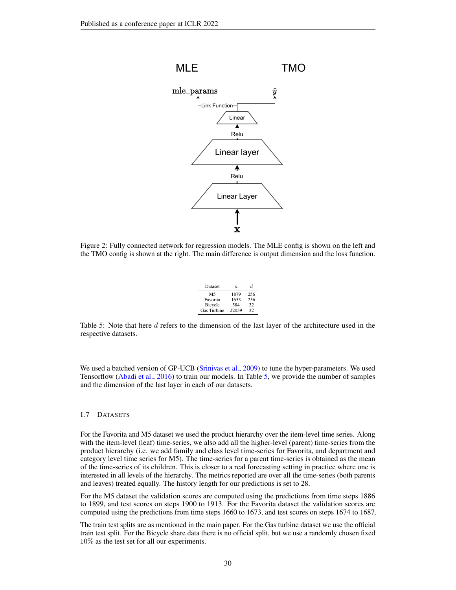<span id="page-29-0"></span>

<span id="page-29-1"></span>Figure 2: Fully connected network for regression models. The MLE config is shown on the left and the TMO config is shown at the right. The main difference is output dimension and the loss function.

| Dataset        | $\boldsymbol{n}$ | d.  |
|----------------|------------------|-----|
| M <sub>5</sub> | 1879             | 256 |
| Favorita       | 1653             | 256 |
| Bicycle        | 584              | 32  |
| Gas Turbine    | 22039            | 32  |

Table 5: Note that here d refers to the dimension of the last layer of the architecture used in the respective datasets.

We used a batched version of GP-UCB [\(Srinivas et al.,](#page-11-19) [2009\)](#page-11-19) to tune the hyper-parameters. We used Tensorflow [\(Abadi et al.,](#page-9-16) [2016\)](#page-9-16) to train our models. In Table [5,](#page-29-1) we provide the number of samples and the dimension of the last layer in each of our datasets.

#### I.7 DATASETS

For the Favorita and M5 dataset we used the product hierarchy over the item-level time series. Along with the item-level (leaf) time-series, we also add all the higher-level (parent) time-series from the product hierarchy (i.e. we add family and class level time-series for Favorita, and department and category level time series for M5). The time-series for a parent time-series is obtained as the mean of the time-series of its children. This is closer to a real forecasting setting in practice where one is interested in all levels of the hierarchy. The metrics reported are over all the time-series (both parents and leaves) treated equally. The history length for our predictions is set to 28.

For the M5 dataset the validation scores are computed using the predictions from time steps 1886 to 1899, and test scores on steps 1900 to 1913. For the Favorita dataset the validation scores are computed using the predictions from time steps 1660 to 1673, and test scores on steps 1674 to 1687.

The train test splits are as mentioned in the main paper. For the Gas turbine dataset we use the official train test split. For the Bicycle share data there is no official split, but we use a randomly chosen fixed 10% as the test set for all our experiments.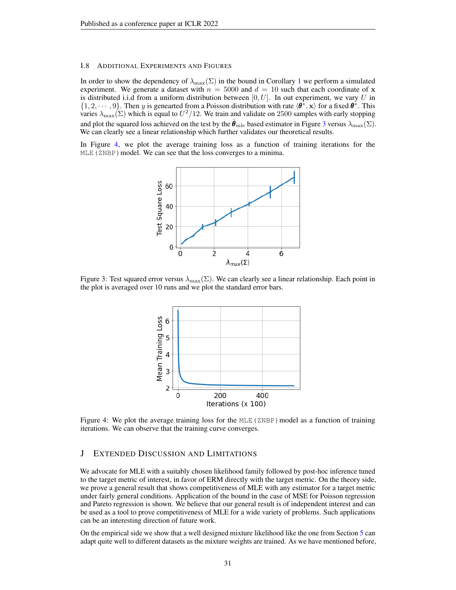#### <span id="page-30-0"></span>I.8 ADDITIONAL EXPERIMENTS AND FIGURES

In order to show the dependency of  $\lambda_{\max}(\Sigma)$  in the bound in Corollary [1](#page-5-1) we perform a simulated experiment. We generate a dataset with  $n = 5000$  and  $d = 10$  such that each coordinate of x is distributed i.i.d from a uniform distribution between  $[0, U]$ . In out experiment, we vary U in  $\{1, 2, \dots, 9\}$ . Then y is genearted from a Poisson distribution with rate  $\langle \theta^*, \mathbf{x} \rangle$  for a fixed  $\theta^*$ . This varies  $\lambda_{\max}(\Sigma)$  which is equal to  $U^2/12$ . We train and validate on 2500 samples with early stopping and plot the squared loss achieved on the test by the  $\theta_{\text{mle}}$  based estimator in Figure [3](#page-30-3) versus  $\lambda_{\text{max}}(\Sigma)$ . We can clearly see a linear relationship which further validates our theoretical results.

<span id="page-30-3"></span>In Figure [4,](#page-30-1) we plot the average training loss as a function of training iterations for the MLE (ZNBP) model. We can see that the loss converges to a minima.



<span id="page-30-1"></span>Figure 3: Test squared error versus  $\lambda_{\text{max}}(\Sigma)$ . We can clearly see a linear relationship. Each point in the plot is averaged over 10 runs and we plot the standard error bars.



Figure 4: We plot the average training loss for the  $MLE$  (ZNBP) model as a function of training iterations. We can observe that the training curve converges.

### <span id="page-30-2"></span>J EXTENDED DISCUSSION AND LIMITATIONS

We advocate for MLE with a suitably chosen likelihood family followed by post-hoc inference tuned to the target metric of interest, in favor of ERM directly with the target metric. On the theory side, we prove a general result that shows competitiveness of MLE with any estimator for a target metric under fairly general conditions. Application of the bound in the case of MSE for Poisson regression and Pareto regression is shown. We believe that our general result is of independent interest and can be used as a tool to prove competitiveness of MLE for a wide variety of problems. Such applications can be an interesting direction of future work.

On the empirical side we show that a well designed mixture likelihood like the one from Section [5](#page-6-0) can adapt quite well to different datasets as the mixture weights are trained. As we have mentioned before,